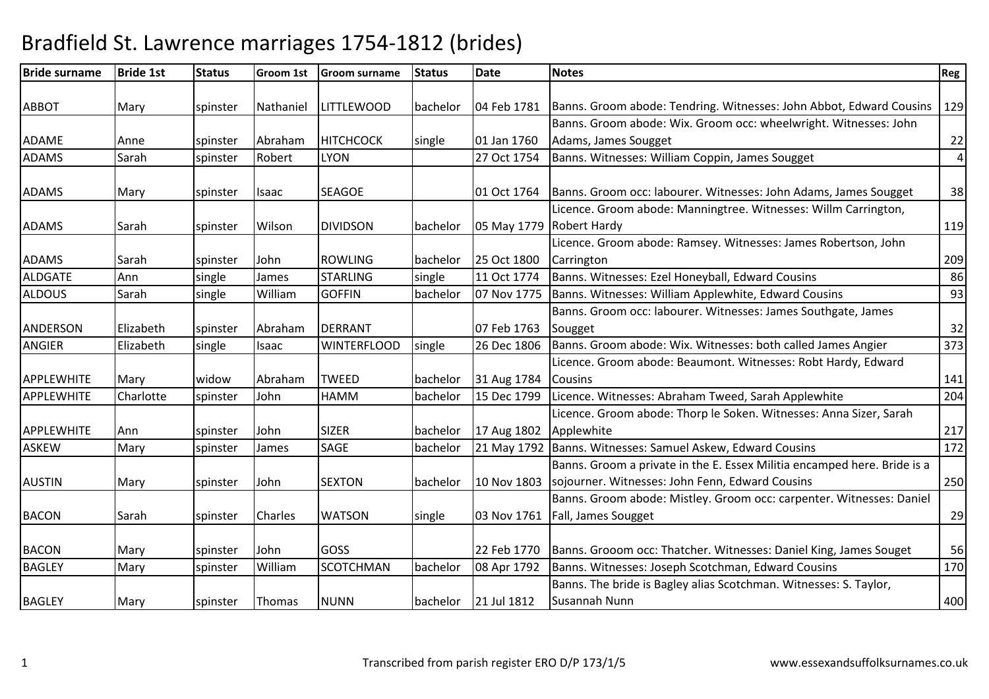| <b>Bride surname</b> | <b>Bride 1st</b> | <b>Status</b> | <b>Groom 1st</b> | <b>Groom surname</b> | <b>Status</b> | <b>Date</b> | <b>Notes</b>                                                             | <b>Reg</b>     |
|----------------------|------------------|---------------|------------------|----------------------|---------------|-------------|--------------------------------------------------------------------------|----------------|
|                      |                  |               |                  |                      |               |             |                                                                          |                |
| <b>ABBOT</b>         | Mary             | spinster      | Nathaniel        | <b>LITTLEWOOD</b>    | bachelor      | 04 Feb 1781 | Banns. Groom abode: Tendring. Witnesses: John Abbot, Edward Cousins      | 129            |
|                      |                  |               |                  |                      |               |             | Banns. Groom abode: Wix. Groom occ: wheelwright. Witnesses: John         |                |
| <b>ADAME</b>         | Anne             | spinster      | Abraham          | <b>HITCHCOCK</b>     | single        | 01 Jan 1760 | Adams, James Sougget                                                     | 22             |
| <b>ADAMS</b>         | Sarah            | spinster      | Robert           | <b>LYON</b>          |               | 27 Oct 1754 | Banns. Witnesses: William Coppin, James Sougget                          | $\overline{4}$ |
| <b>ADAMS</b>         | Mary             | spinster      | Isaac            | <b>SEAGOE</b>        |               | 01 Oct 1764 | Banns. Groom occ: labourer. Witnesses: John Adams, James Sougget         | 38             |
|                      |                  |               |                  |                      |               |             | Licence. Groom abode: Manningtree. Witnesses: Willm Carrington,          |                |
| <b>ADAMS</b>         | Sarah            | spinster      | Wilson           | <b>DIVIDSON</b>      | bachelor      |             | 05 May 1779 Robert Hardy                                                 | 119            |
|                      |                  |               |                  |                      |               |             | Licence. Groom abode: Ramsey. Witnesses: James Robertson, John           |                |
| <b>ADAMS</b>         | Sarah            | spinster      | John             | <b>ROWLING</b>       | bachelor      | 25 Oct 1800 | Carrington                                                               | 209            |
| <b>ALDGATE</b>       | Ann              | single        | James            | <b>STARLING</b>      | single        | 11 Oct 1774 | Banns. Witnesses: Ezel Honeyball, Edward Cousins                         | 86             |
| <b>ALDOUS</b>        | Sarah            | single        | William          | <b>GOFFIN</b>        | bachelor      | 07 Nov 1775 | Banns. Witnesses: William Applewhite, Edward Cousins                     | 93             |
|                      |                  |               |                  |                      |               |             | Banns. Groom occ: labourer. Witnesses: James Southgate, James            |                |
| <b>ANDERSON</b>      | Elizabeth        | spinster      | Abraham          | <b>DERRANT</b>       |               | 07 Feb 1763 | Sougget                                                                  | 32             |
| <b>ANGIER</b>        | Elizabeth        | single        | Isaac            | <b>WINTERFLOOD</b>   | single        | 26 Dec 1806 | Banns. Groom abode: Wix. Witnesses: both called James Angier             | 373            |
|                      |                  |               |                  |                      |               |             | Licence. Groom abode: Beaumont. Witnesses: Robt Hardy, Edward            |                |
| <b>APPLEWHITE</b>    | Mary             | widow         | Abraham          | <b>TWEED</b>         | bachelor      | 31 Aug 1784 | <b>Cousins</b>                                                           | 141            |
| <b>APPLEWHITE</b>    | Charlotte        | spinster      | John             | <b>HAMM</b>          | bachelor      | 15 Dec 1799 | Licence. Witnesses: Abraham Tweed, Sarah Applewhite                      | 204            |
|                      |                  |               |                  |                      |               |             | Licence. Groom abode: Thorp le Soken. Witnesses: Anna Sizer, Sarah       |                |
| <b>APPLEWHITE</b>    | Ann              | spinster      | John             | <b>SIZER</b>         | bachelor      | 17 Aug 1802 | Applewhite                                                               | 217            |
| <b>ASKEW</b>         | Mary             | spinster      | James            | SAGE                 | bachelor      |             | 21 May 1792 Banns. Witnesses: Samuel Askew, Edward Cousins               | 172            |
|                      |                  |               |                  |                      |               |             | Banns. Groom a private in the E. Essex Militia encamped here. Bride is a |                |
| <b>AUSTIN</b>        | Mary             | spinster      | John             | <b>SEXTON</b>        | bachelor      | 10 Nov 1803 | sojourner. Witnesses: John Fenn, Edward Cousins                          | 250            |
|                      |                  |               |                  |                      |               |             | Banns. Groom abode: Mistley. Groom occ: carpenter. Witnesses: Daniel     |                |
| <b>BACON</b>         | Sarah            | spinster      | Charles          | <b>WATSON</b>        | single        | 03 Nov 1761 | Fall, James Sougget                                                      | 29             |
|                      |                  |               |                  |                      |               |             |                                                                          |                |
| <b>BACON</b>         | Mary             | spinster      | John             | GOSS                 |               | 22 Feb 1770 | Banns. Grooom occ: Thatcher. Witnesses: Daniel King, James Souget        | 56             |
| <b>BAGLEY</b>        | Mary             | spinster      | William          | <b>SCOTCHMAN</b>     | bachelor      | 08 Apr 1792 | Banns. Witnesses: Joseph Scotchman, Edward Cousins                       | 170            |
|                      |                  |               |                  |                      |               |             | Banns. The bride is Bagley alias Scotchman. Witnesses: S. Taylor,        |                |
| <b>BAGLEY</b>        | Mary             | spinster      | Thomas           | <b>NUNN</b>          | bachelor      | 21 Jul 1812 | Susannah Nunn                                                            | 400            |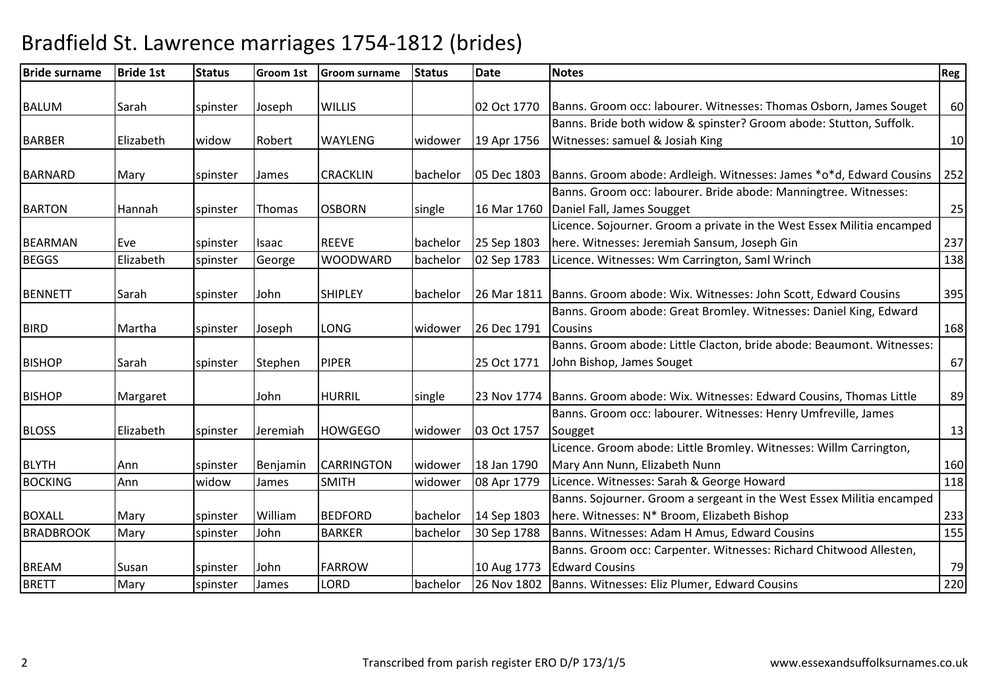| <b>Bride surname</b> | <b>Bride 1st</b> | <b>Status</b> | <b>Groom 1st</b> | <b>Groom surname</b> | <b>Status</b> | <b>Date</b> | <b>Notes</b>                                                                 | Reg |
|----------------------|------------------|---------------|------------------|----------------------|---------------|-------------|------------------------------------------------------------------------------|-----|
|                      |                  |               |                  |                      |               |             |                                                                              |     |
| <b>BALUM</b>         | Sarah            | spinster      | Joseph           | <b>WILLIS</b>        |               | 02 Oct 1770 | Banns. Groom occ: labourer. Witnesses: Thomas Osborn, James Souget           | 60  |
|                      |                  |               |                  |                      |               |             | Banns. Bride both widow & spinster? Groom abode: Stutton, Suffolk.           |     |
| <b>BARBER</b>        | Elizabeth        | widow         | Robert           | <b>WAYLENG</b>       | widower       | 19 Apr 1756 | Witnesses: samuel & Josiah King                                              | 10  |
|                      |                  |               |                  |                      |               |             |                                                                              |     |
| <b>BARNARD</b>       | Mary             | spinster      | <b>James</b>     | <b>CRACKLIN</b>      | bachelor      | 05 Dec 1803 | Banns. Groom abode: Ardleigh. Witnesses: James *o*d, Edward Cousins          | 252 |
|                      |                  |               |                  |                      |               |             | Banns. Groom occ: labourer. Bride abode: Manningtree. Witnesses:             |     |
| <b>BARTON</b>        | Hannah           | spinster      | Thomas           | <b>OSBORN</b>        | single        | 16 Mar 1760 | Daniel Fall, James Sougget                                                   | 25  |
|                      |                  |               |                  |                      |               |             | Licence. Sojourner. Groom a private in the West Essex Militia encamped       |     |
| <b>BEARMAN</b>       | Eve              | spinster      | <b>Isaac</b>     | <b>REEVE</b>         | bachelor      | 25 Sep 1803 | here. Witnesses: Jeremiah Sansum, Joseph Gin                                 | 237 |
| <b>BEGGS</b>         | Elizabeth        | spinster      | George           | <b>WOODWARD</b>      | bachelor      | 02 Sep 1783 | Licence. Witnesses: Wm Carrington, Saml Wrinch                               | 138 |
|                      |                  |               |                  |                      |               |             |                                                                              |     |
| <b>BENNETT</b>       | Sarah            | spinster      | John             | <b>SHIPLEY</b>       | bachelor      |             | 26 Mar 1811   Banns. Groom abode: Wix. Witnesses: John Scott, Edward Cousins | 395 |
|                      |                  |               |                  |                      |               |             | Banns. Groom abode: Great Bromley. Witnesses: Daniel King, Edward            |     |
| <b>BIRD</b>          | Martha           | spinster      | Joseph           | LONG                 | widower       | 26 Dec 1791 | <b>Cousins</b>                                                               | 168 |
|                      |                  |               |                  |                      |               |             | Banns. Groom abode: Little Clacton, bride abode: Beaumont. Witnesses:        |     |
| <b>BISHOP</b>        | Sarah            | spinster      | Stephen          | <b>PIPER</b>         |               | 25 Oct 1771 | John Bishop, James Souget                                                    | 67  |
|                      |                  |               |                  |                      |               |             |                                                                              |     |
| <b>BISHOP</b>        | Margaret         |               | John             | <b>HURRIL</b>        | single        | 23 Nov 1774 | Banns. Groom abode: Wix. Witnesses: Edward Cousins, Thomas Little            | 89  |
|                      |                  |               |                  |                      |               |             | Banns. Groom occ: labourer. Witnesses: Henry Umfreville, James               |     |
| <b>BLOSS</b>         | Elizabeth        | spinster      | Jeremiah         | <b>HOWGEGO</b>       | widower       | 03 Oct 1757 | Sougget                                                                      | 13  |
|                      |                  |               |                  |                      |               |             | Licence. Groom abode: Little Bromley. Witnesses: Willm Carrington,           |     |
| <b>BLYTH</b>         | Ann              | spinster      | Benjamin         | <b>CARRINGTON</b>    | widower       | 18 Jan 1790 | Mary Ann Nunn, Elizabeth Nunn                                                | 160 |
| <b>BOCKING</b>       | Ann              | widow         | James            | <b>SMITH</b>         | widower       | 08 Apr 1779 | Licence. Witnesses: Sarah & George Howard                                    | 118 |
|                      |                  |               |                  |                      |               |             | Banns. Sojourner. Groom a sergeant in the West Essex Militia encamped        |     |
| <b>BOXALL</b>        | Mary             | spinster      | William          | <b>BEDFORD</b>       | bachelor      | 14 Sep 1803 | here. Witnesses: N* Broom, Elizabeth Bishop                                  | 233 |
| <b>BRADBROOK</b>     | Mary             | spinster      | John             | <b>BARKER</b>        | bachelor      | 30 Sep 1788 | Banns. Witnesses: Adam H Amus, Edward Cousins                                | 155 |
|                      |                  |               |                  |                      |               |             | Banns. Groom occ: Carpenter. Witnesses: Richard Chitwood Allesten,           |     |
| <b>BREAM</b>         | Susan            | spinster      | John             | <b>FARROW</b>        |               | 10 Aug 1773 | <b>Edward Cousins</b>                                                        | 79  |
| <b>BRETT</b>         | Mary             | spinster      | James            | <b>LORD</b>          | bachelor      | 26 Nov 1802 | Banns. Witnesses: Eliz Plumer, Edward Cousins                                | 220 |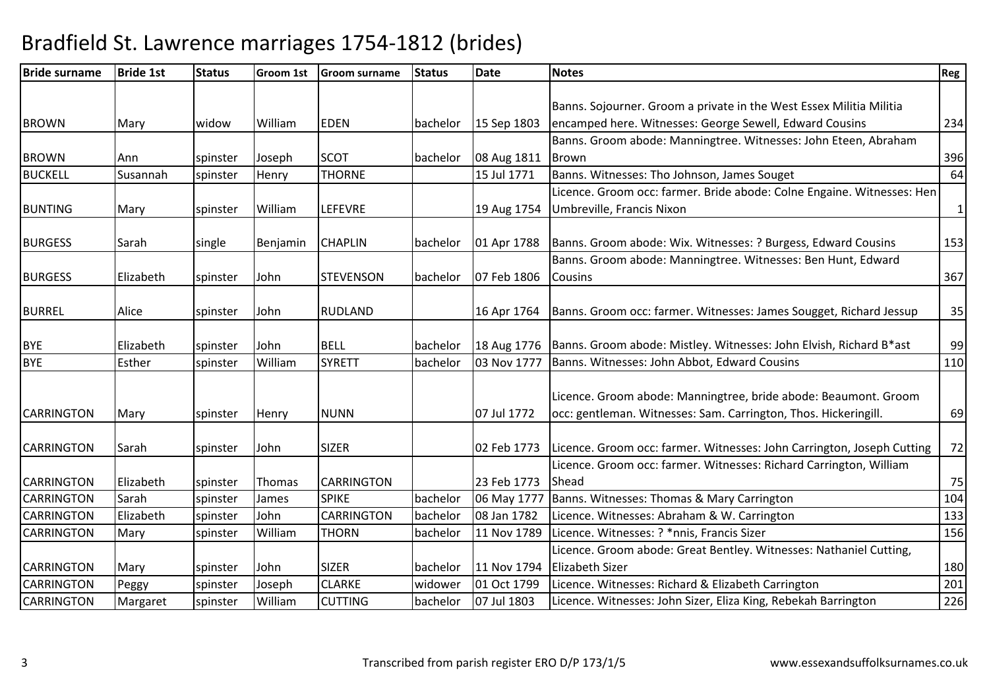| <b>Bride surname</b> | <b>Bride 1st</b> | <b>Status</b> | <b>Groom 1st</b> | <b>Groom surname</b> | <b>Status</b> | <b>Date</b> | <b>Notes</b>                                                           | <b>Reg</b> |
|----------------------|------------------|---------------|------------------|----------------------|---------------|-------------|------------------------------------------------------------------------|------------|
|                      |                  |               |                  |                      |               |             |                                                                        |            |
|                      |                  |               |                  |                      |               |             | Banns. Sojourner. Groom a private in the West Essex Militia Militia    |            |
| <b>BROWN</b>         | Mary             | widow         | William          | <b>EDEN</b>          | bachelor      | 15 Sep 1803 | encamped here. Witnesses: George Sewell, Edward Cousins                | 234        |
|                      |                  |               |                  |                      |               |             | Banns. Groom abode: Manningtree. Witnesses: John Eteen, Abraham        |            |
| <b>BROWN</b>         | Ann              | spinster      | Joseph           | <b>SCOT</b>          | bachelor      | 08 Aug 1811 | Brown                                                                  | 396        |
| <b>BUCKELL</b>       | Susannah         | spinster      | Henry            | <b>THORNE</b>        |               | 15 Jul 1771 | Banns. Witnesses: Tho Johnson, James Souget                            | 64         |
|                      |                  |               |                  |                      |               |             | Licence. Groom occ: farmer. Bride abode: Colne Engaine. Witnesses: Hen |            |
| <b>BUNTING</b>       | Mary             | spinster      | William          | <b>LEFEVRE</b>       |               | 19 Aug 1754 | Umbreville, Francis Nixon                                              | $1\vert$   |
|                      |                  |               |                  |                      |               |             |                                                                        |            |
| <b>BURGESS</b>       | Sarah            | single        | Benjamin         | <b>CHAPLIN</b>       | bachelor      | 01 Apr 1788 | Banns. Groom abode: Wix. Witnesses: ? Burgess, Edward Cousins          | 153        |
|                      |                  |               |                  |                      |               |             | Banns. Groom abode: Manningtree. Witnesses: Ben Hunt, Edward           |            |
| <b>BURGESS</b>       | Elizabeth        | spinster      | John             | <b>STEVENSON</b>     | bachelor      | 07 Feb 1806 | <b>Cousins</b>                                                         | 367        |
|                      |                  |               |                  |                      |               |             |                                                                        |            |
| <b>BURREL</b>        | Alice            | spinster      | John             | <b>RUDLAND</b>       |               | 16 Apr 1764 | Banns. Groom occ: farmer. Witnesses: James Sougget, Richard Jessup     | 35         |
|                      |                  |               |                  |                      |               |             |                                                                        |            |
| <b>BYE</b>           | Elizabeth        | spinster      | John             | <b>BELL</b>          | bachelor      | 18 Aug 1776 | Banns. Groom abode: Mistley. Witnesses: John Elvish, Richard B*ast     | 99         |
| <b>BYE</b>           | Esther           | spinster      | William          | <b>SYRETT</b>        | bachelor      | 03 Nov 1777 | Banns. Witnesses: John Abbot, Edward Cousins                           | 110        |
|                      |                  |               |                  |                      |               |             |                                                                        |            |
|                      |                  |               |                  |                      |               |             | Licence. Groom abode: Manningtree, bride abode: Beaumont. Groom        |            |
| <b>CARRINGTON</b>    | Mary             | spinster      | Henry            | <b>NUNN</b>          |               | 07 Jul 1772 | occ: gentleman. Witnesses: Sam. Carrington, Thos. Hickeringill.        | 69         |
| <b>CARRINGTON</b>    | Sarah            | spinster      | John             | <b>SIZER</b>         |               | 02 Feb 1773 | Licence. Groom occ: farmer. Witnesses: John Carrington, Joseph Cutting | 72         |
|                      |                  |               |                  |                      |               |             | Licence. Groom occ: farmer. Witnesses: Richard Carrington, William     |            |
| <b>CARRINGTON</b>    | Elizabeth        | spinster      | Thomas           | <b>CARRINGTON</b>    |               | 23 Feb 1773 | Shead                                                                  | 75         |
| <b>CARRINGTON</b>    | Sarah            | spinster      | James            | <b>SPIKE</b>         | bachelor      | 06 May 1777 | Banns. Witnesses: Thomas & Mary Carrington                             | 104        |
| <b>CARRINGTON</b>    | Elizabeth        | spinster      | John             | <b>CARRINGTON</b>    | bachelor      | 08 Jan 1782 | Licence. Witnesses: Abraham & W. Carrington                            | 133        |
| <b>CARRINGTON</b>    | Mary             | spinster      | William          | <b>THORN</b>         | bachelor      | 11 Nov 1789 | Licence. Witnesses: ? *nnis, Francis Sizer                             | 156        |
|                      |                  |               |                  |                      |               |             | Licence. Groom abode: Great Bentley. Witnesses: Nathaniel Cutting,     |            |
| <b>CARRINGTON</b>    | Mary             | spinster      | John             | <b>SIZER</b>         | bachelor      | 11 Nov 1794 | <b>Elizabeth Sizer</b>                                                 | 180        |
| <b>CARRINGTON</b>    | Peggy            | spinster      | Joseph           | <b>CLARKE</b>        | widower       | 01 Oct 1799 | Licence. Witnesses: Richard & Elizabeth Carrington                     | 201        |
| <b>CARRINGTON</b>    | Margaret         | spinster      | William          | <b>CUTTING</b>       | bachelor      | 07 Jul 1803 | Licence. Witnesses: John Sizer, Eliza King, Rebekah Barrington         | 226        |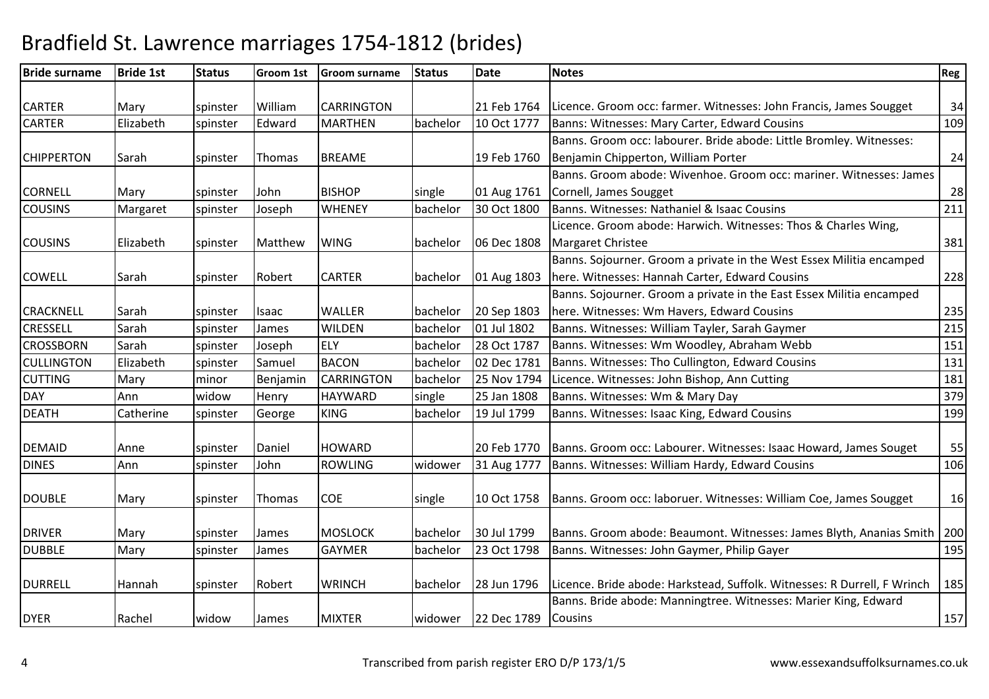| <b>Bride surname</b> | <b>Bride 1st</b> | <b>Status</b> | Groom 1st | <b>Groom surname</b> | <b>Status</b> | <b>Date</b> | <b>Notes</b>                                                                      | <b>Reg</b> |
|----------------------|------------------|---------------|-----------|----------------------|---------------|-------------|-----------------------------------------------------------------------------------|------------|
|                      |                  |               |           |                      |               |             |                                                                                   |            |
| <b>CARTER</b>        | Mary             | spinster      | William   | <b>CARRINGTON</b>    |               | 21 Feb 1764 | Licence. Groom occ: farmer. Witnesses: John Francis, James Sougget                | 34         |
| <b>CARTER</b>        | Elizabeth        | spinster      | Edward    | <b>MARTHEN</b>       | bachelor      | 10 Oct 1777 | Banns: Witnesses: Mary Carter, Edward Cousins                                     | 109        |
|                      |                  |               |           |                      |               |             | Banns. Groom occ: labourer. Bride abode: Little Bromley. Witnesses:               |            |
| <b>CHIPPERTON</b>    | Sarah            | spinster      | Thomas    | <b>BREAME</b>        |               | 19 Feb 1760 | Benjamin Chipperton, William Porter                                               | 24         |
|                      |                  |               |           |                      |               |             | Banns. Groom abode: Wivenhoe. Groom occ: mariner. Witnesses: James                |            |
| <b>CORNELL</b>       | Mary             | spinster      | John      | <b>BISHOP</b>        | single        | 01 Aug 1761 | Cornell, James Sougget                                                            | 28         |
| <b>COUSINS</b>       | Margaret         | spinster      | Joseph    | <b>WHENEY</b>        | bachelor      | 30 Oct 1800 | Banns. Witnesses: Nathaniel & Isaac Cousins                                       | 211        |
|                      |                  |               |           |                      |               |             | Licence. Groom abode: Harwich. Witnesses: Thos & Charles Wing,                    |            |
| <b>COUSINS</b>       | Elizabeth        | spinster      | Matthew   | <b>WING</b>          | bachelor      | 06 Dec 1808 | Margaret Christee                                                                 | 381        |
|                      |                  |               |           |                      |               |             | Banns. Sojourner. Groom a private in the West Essex Militia encamped              |            |
| <b>COWELL</b>        | Sarah            | spinster      | Robert    | <b>CARTER</b>        | bachelor      | 01 Aug 1803 | here. Witnesses: Hannah Carter, Edward Cousins                                    | 228        |
|                      |                  |               |           |                      |               |             | Banns. Sojourner. Groom a private in the East Essex Militia encamped              |            |
| <b>CRACKNELL</b>     | Sarah            | spinster      | Isaac     | <b>WALLER</b>        | bachelor      | 20 Sep 1803 | here. Witnesses: Wm Havers, Edward Cousins                                        | 235        |
| CRESSELL             | Sarah            | spinster      | James     | <b>WILDEN</b>        | bachelor      | 01 Jul 1802 | Banns. Witnesses: William Tayler, Sarah Gaymer                                    | 215        |
| <b>CROSSBORN</b>     | Sarah            | spinster      | Joseph    | <b>ELY</b>           | bachelor      | 28 Oct 1787 | Banns. Witnesses: Wm Woodley, Abraham Webb                                        | 151        |
| <b>CULLINGTON</b>    | Elizabeth        | spinster      | Samuel    | <b>BACON</b>         | bachelor      | 02 Dec 1781 | Banns. Witnesses: Tho Cullington, Edward Cousins                                  | 131        |
| <b>CUTTING</b>       | Mary             | minor         | Benjamin  | <b>CARRINGTON</b>    | bachelor      | 25 Nov 1794 | Licence. Witnesses: John Bishop, Ann Cutting                                      | 181        |
| <b>DAY</b>           | Ann              | widow         | Henry     | <b>HAYWARD</b>       | single        | 25 Jan 1808 | Banns. Witnesses: Wm & Mary Day                                                   | 379        |
| <b>DEATH</b>         | Catherine        | spinster      | George    | <b>KING</b>          | bachelor      | 19 Jul 1799 | Banns. Witnesses: Isaac King, Edward Cousins                                      | 199        |
| <b>DEMAID</b>        | Anne             | spinster      | Daniel    | <b>HOWARD</b>        |               | 20 Feb 1770 | Banns. Groom occ: Labourer. Witnesses: Isaac Howard, James Souget                 | 55         |
| <b>DINES</b>         | Ann              |               | John      | <b>ROWLING</b>       | widower       | 31 Aug 1777 | Banns. Witnesses: William Hardy, Edward Cousins                                   | 106        |
|                      |                  | spinster      |           |                      |               |             |                                                                                   |            |
| <b>DOUBLE</b>        | Mary             | spinster      | Thomas    | COE                  | single        | 10 Oct 1758 | Banns. Groom occ: laboruer. Witnesses: William Coe, James Sougget                 | 16         |
|                      |                  |               |           | <b>MOSLOCK</b>       |               |             |                                                                                   |            |
| <b>DRIVER</b>        | Mary             | spinster      | James     |                      | bachelor      | 30 Jul 1799 | Banns. Groom abode: Beaumont. Witnesses: James Blyth, Ananias Smith               | 200        |
| <b>DUBBLE</b>        | Mary             | spinster      | James     | <b>GAYMER</b>        | bachelor      | 23 Oct 1798 | Banns. Witnesses: John Gaymer, Philip Gayer                                       | 195        |
| <b>DURRELL</b>       | Hannah           | spinster      | Robert    | <b>WRINCH</b>        | bachelor      | 28 Jun 1796 | Licence. Bride abode: Harkstead, Suffolk. Witnesses: R Durrell, F Wrinch          | 185        |
| <b>DYER</b>          | Rachel           | widow         | James     | <b>MIXTER</b>        | widower       | 22 Dec 1789 | Banns. Bride abode: Manningtree. Witnesses: Marier King, Edward<br><b>Cousins</b> | 157        |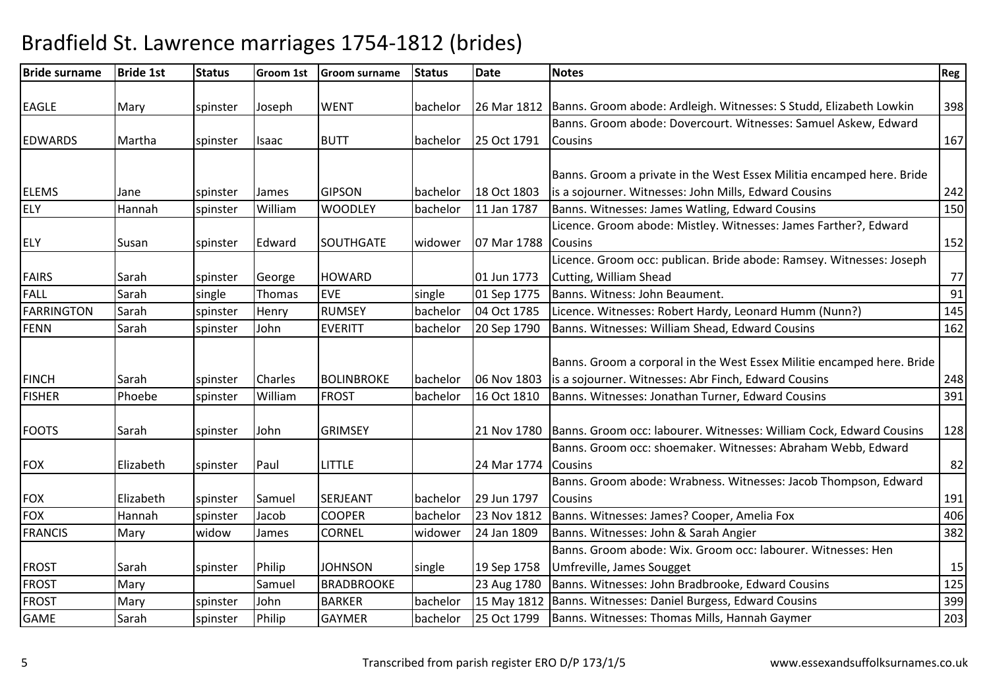| <b>Bride surname</b> | <b>Bride 1st</b> | <b>Status</b> | <b>Groom 1st</b> | <b>Groom surname</b> | <b>Status</b> | <b>Date</b> | <b>Notes</b>                                                                     | Reg |
|----------------------|------------------|---------------|------------------|----------------------|---------------|-------------|----------------------------------------------------------------------------------|-----|
|                      |                  |               |                  |                      |               |             |                                                                                  |     |
| <b>EAGLE</b>         | Mary             | spinster      | Joseph           | <b>WENT</b>          | bachelor      |             | 26 Mar 1812   Banns. Groom abode: Ardleigh. Witnesses: S Studd, Elizabeth Lowkin | 398 |
|                      |                  |               |                  |                      |               |             | Banns. Groom abode: Dovercourt. Witnesses: Samuel Askew, Edward                  |     |
| <b>EDWARDS</b>       | Martha           | spinster      | Isaac            | <b>BUTT</b>          | bachelor      | 25 Oct 1791 | <b>Cousins</b>                                                                   | 167 |
|                      |                  |               |                  |                      |               |             |                                                                                  |     |
|                      |                  |               |                  |                      |               |             | Banns. Groom a private in the West Essex Militia encamped here. Bride            |     |
| <b>ELEMS</b>         | Jane             | spinster      | James            | <b>GIPSON</b>        | bachelor      | 18 Oct 1803 | is a sojourner. Witnesses: John Mills, Edward Cousins                            | 242 |
| <b>ELY</b>           | Hannah           | spinster      | William          | <b>WOODLEY</b>       | bachelor      | 11 Jan 1787 | Banns. Witnesses: James Watling, Edward Cousins                                  | 150 |
|                      |                  |               |                  |                      |               |             | Licence. Groom abode: Mistley. Witnesses: James Farther?, Edward                 |     |
| <b>ELY</b>           | Susan            | spinster      | Edward           | SOUTHGATE            | widower       | 07 Mar 1788 | <b>Cousins</b>                                                                   | 152 |
|                      |                  |               |                  |                      |               |             | Licence. Groom occ: publican. Bride abode: Ramsey. Witnesses: Joseph             |     |
| <b>FAIRS</b>         | Sarah            | spinster      | George           | <b>HOWARD</b>        |               | 01 Jun 1773 | Cutting, William Shead                                                           | 77  |
| <b>FALL</b>          | Sarah            | single        | Thomas           | <b>EVE</b>           | single        | 01 Sep 1775 | Banns. Witness: John Beaument.                                                   | 91  |
| <b>FARRINGTON</b>    | Sarah            | spinster      | Henry            | <b>RUMSEY</b>        | bachelor      | 04 Oct 1785 | Licence. Witnesses: Robert Hardy, Leonard Humm (Nunn?)                           | 145 |
| <b>FENN</b>          | Sarah            | spinster      | John             | <b>EVERITT</b>       | bachelor      | 20 Sep 1790 | Banns. Witnesses: William Shead, Edward Cousins                                  | 162 |
|                      |                  |               |                  |                      |               |             |                                                                                  |     |
|                      |                  |               |                  |                      |               |             | Banns. Groom a corporal in the West Essex Militie encamped here. Bride           |     |
| <b>FINCH</b>         | Sarah            | spinster      | Charles          | <b>BOLINBROKE</b>    | bachelor      | 06 Nov 1803 | is a sojourner. Witnesses: Abr Finch, Edward Cousins                             | 248 |
| <b>FISHER</b>        | Phoebe           | spinster      | William          | <b>FROST</b>         | bachelor      | 16 Oct 1810 | Banns. Witnesses: Jonathan Turner, Edward Cousins                                | 391 |
|                      |                  |               |                  |                      |               |             |                                                                                  |     |
| <b>FOOTS</b>         | Sarah            | spinster      | John             | <b>GRIMSEY</b>       |               | 21 Nov 1780 | Banns. Groom occ: labourer. Witnesses: William Cock, Edward Cousins              | 128 |
|                      |                  |               |                  |                      |               |             | Banns. Groom occ: shoemaker. Witnesses: Abraham Webb, Edward                     |     |
| <b>FOX</b>           | Elizabeth        | spinster      | Paul             | <b>LITTLE</b>        |               | 24 Mar 1774 | <b>Cousins</b>                                                                   | 82  |
|                      |                  |               |                  |                      |               |             | Banns. Groom abode: Wrabness. Witnesses: Jacob Thompson, Edward                  |     |
| <b>FOX</b>           | Elizabeth        | spinster      | Samuel           | SERJEANT             | bachelor      | 29 Jun 1797 | Cousins                                                                          | 191 |
| <b>FOX</b>           | Hannah           | spinster      | Jacob            | <b>COOPER</b>        | bachelor      | 23 Nov 1812 | Banns. Witnesses: James? Cooper, Amelia Fox                                      | 406 |
| <b>FRANCIS</b>       | Mary             | widow         | James            | <b>CORNEL</b>        | widower       | 24 Jan 1809 | Banns. Witnesses: John & Sarah Angier                                            | 382 |
|                      |                  |               |                  |                      |               |             | Banns. Groom abode: Wix. Groom occ: labourer. Witnesses: Hen                     |     |
| <b>FROST</b>         | Sarah            | spinster      | Philip           | <b>JOHNSON</b>       | single        | 19 Sep 1758 | Umfreville, James Sougget                                                        | 15  |
| <b>FROST</b>         | Mary             |               | Samuel           | <b>BRADBROOKE</b>    |               | 23 Aug 1780 | Banns. Witnesses: John Bradbrooke, Edward Cousins                                | 125 |
| <b>FROST</b>         | Mary             | spinster      | John             | <b>BARKER</b>        | bachelor      | 15 May 1812 | Banns. Witnesses: Daniel Burgess, Edward Cousins                                 | 399 |
| <b>GAME</b>          | Sarah            | spinster      | Philip           | <b>GAYMER</b>        | bachelor      | 25 Oct 1799 | Banns. Witnesses: Thomas Mills, Hannah Gaymer                                    | 203 |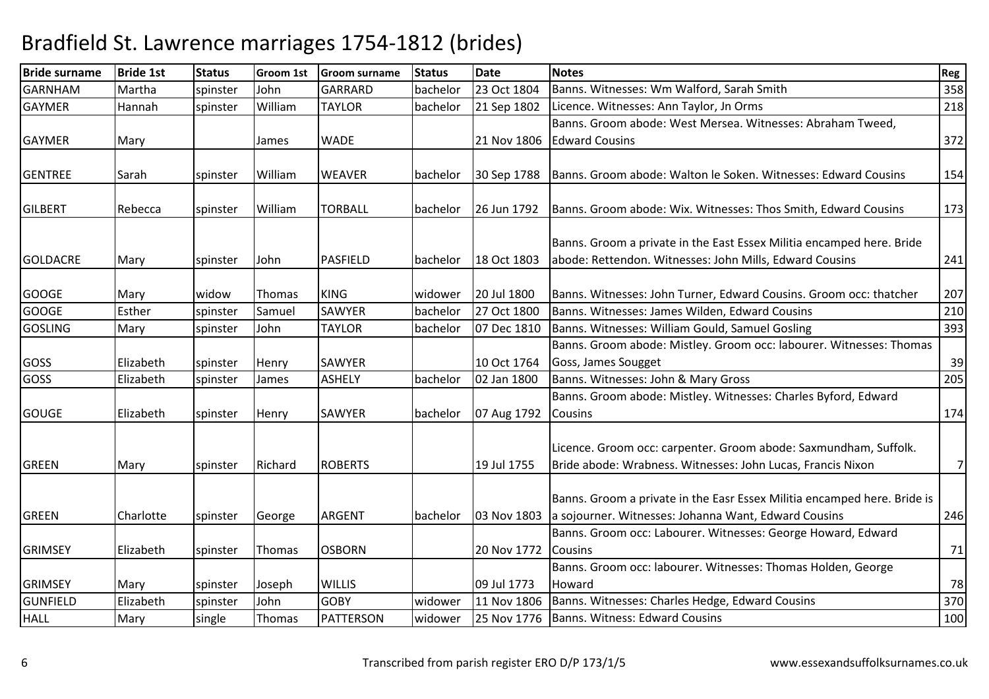| <b>Bride surname</b> | <b>Bride 1st</b> | <b>Status</b> | <b>Groom 1st</b> | <b>Groom surname</b> | <b>Status</b> | <b>Date</b> | <b>Notes</b>                                                             | Reg |
|----------------------|------------------|---------------|------------------|----------------------|---------------|-------------|--------------------------------------------------------------------------|-----|
| <b>GARNHAM</b>       | Martha           | spinster      | John             | <b>GARRARD</b>       | bachelor      | 23 Oct 1804 | Banns. Witnesses: Wm Walford, Sarah Smith                                | 358 |
| <b>GAYMER</b>        | Hannah           | spinster      | William          | <b>TAYLOR</b>        | bachelor      | 21 Sep 1802 | Licence. Witnesses: Ann Taylor, Jn Orms                                  | 218 |
|                      |                  |               |                  |                      |               |             | Banns. Groom abode: West Mersea. Witnesses: Abraham Tweed,               |     |
| <b>GAYMER</b>        | Mary             |               | James            | <b>WADE</b>          |               | 21 Nov 1806 | <b>Edward Cousins</b>                                                    | 372 |
|                      |                  |               |                  |                      |               |             |                                                                          |     |
| <b>GENTREE</b>       | Sarah            | spinster      | William          | <b>WEAVER</b>        | bachelor      | 30 Sep 1788 | Banns. Groom abode: Walton le Soken. Witnesses: Edward Cousins           | 154 |
|                      |                  |               |                  |                      |               |             |                                                                          |     |
| <b>GILBERT</b>       | Rebecca          | spinster      | William          | <b>TORBALL</b>       | bachelor      | 26 Jun 1792 | Banns. Groom abode: Wix. Witnesses: Thos Smith, Edward Cousins           | 173 |
|                      |                  |               |                  |                      |               |             | Banns. Groom a private in the East Essex Militia encamped here. Bride    |     |
| <b>GOLDACRE</b>      |                  | spinster      | John             | PASFIELD             | bachelor      | 18 Oct 1803 | abode: Rettendon. Witnesses: John Mills, Edward Cousins                  | 241 |
|                      | Mary             |               |                  |                      |               |             |                                                                          |     |
| <b>GOOGE</b>         | Mary             | widow         | Thomas           | <b>KING</b>          | widower       | 20 Jul 1800 | Banns. Witnesses: John Turner, Edward Cousins. Groom occ: thatcher       | 207 |
| <b>GOOGE</b>         | Esther           | spinster      | Samuel           | <b>SAWYER</b>        | bachelor      | 27 Oct 1800 | Banns. Witnesses: James Wilden, Edward Cousins                           | 210 |
| <b>GOSLING</b>       | Mary             | spinster      | John             | <b>TAYLOR</b>        | bachelor      | 07 Dec 1810 | Banns. Witnesses: William Gould, Samuel Gosling                          | 393 |
|                      |                  |               |                  |                      |               |             | Banns. Groom abode: Mistley. Groom occ: labourer. Witnesses: Thomas      |     |
| GOSS                 | Elizabeth        | spinster      | Henry            | SAWYER               |               | 10 Oct 1764 | Goss, James Sougget                                                      | 39  |
| GOSS                 | Elizabeth        | spinster      | James            | <b>ASHELY</b>        | bachelor      | 02 Jan 1800 | Banns. Witnesses: John & Mary Gross                                      | 205 |
|                      |                  |               |                  |                      |               |             | Banns. Groom abode: Mistley. Witnesses: Charles Byford, Edward           |     |
| <b>GOUGE</b>         | Elizabeth        | spinster      | Henry            | SAWYER               | bachelor      | 07 Aug 1792 | <b>Cousins</b>                                                           | 174 |
|                      |                  |               |                  |                      |               |             |                                                                          |     |
|                      |                  |               |                  |                      |               |             | Licence. Groom occ: carpenter. Groom abode: Saxmundham, Suffolk.         |     |
| <b>GREEN</b>         | Mary             | spinster      | Richard          | <b>ROBERTS</b>       |               | 19 Jul 1755 | Bride abode: Wrabness. Witnesses: John Lucas, Francis Nixon              | 7   |
|                      |                  |               |                  |                      |               |             |                                                                          |     |
|                      |                  |               |                  |                      |               |             | Banns. Groom a private in the Easr Essex Militia encamped here. Bride is |     |
| <b>GREEN</b>         | Charlotte        | spinster      | George           | <b>ARGENT</b>        | bachelor      | 03 Nov 1803 | a sojourner. Witnesses: Johanna Want, Edward Cousins                     | 246 |
|                      |                  |               |                  |                      |               |             | Banns. Groom occ: Labourer. Witnesses: George Howard, Edward             |     |
| <b>GRIMSEY</b>       | Elizabeth        | spinster      | Thomas           | <b>OSBORN</b>        |               | 20 Nov 1772 | <b>Cousins</b>                                                           | 71  |
|                      |                  |               |                  |                      |               |             | Banns. Groom occ: labourer. Witnesses: Thomas Holden, George             |     |
| <b>GRIMSEY</b>       | Mary             | spinster      | Joseph           | <b>WILLIS</b>        |               | 09 Jul 1773 | Howard                                                                   | 78  |
| <b>GUNFIELD</b>      | Elizabeth        | spinster      | John             | <b>GOBY</b>          | widower       | 11 Nov 1806 | Banns. Witnesses: Charles Hedge, Edward Cousins                          | 370 |
| <b>HALL</b>          | Mary             | single        | Thomas           | <b>PATTERSON</b>     | widower       |             | 25 Nov 1776   Banns. Witness: Edward Cousins                             | 100 |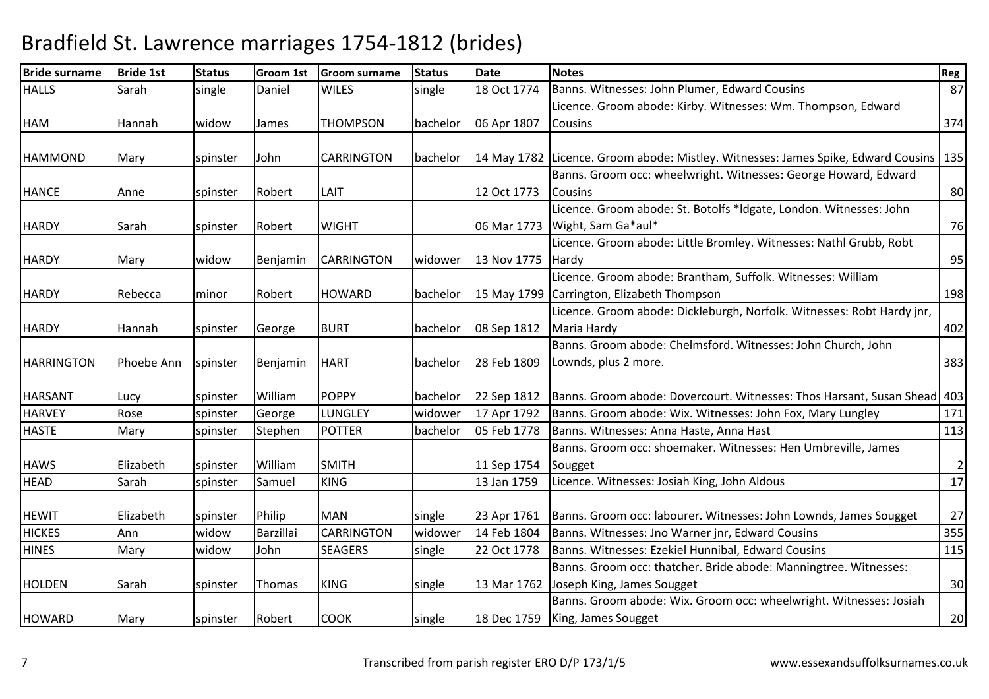| <b>Bride surname</b> | <b>Bride 1st</b> | <b>Status</b> | <b>Groom 1st</b> | <b>Groom surname</b> | <b>Status</b> | <b>Date</b> | <b>Notes</b>                                                                             | Reg            |
|----------------------|------------------|---------------|------------------|----------------------|---------------|-------------|------------------------------------------------------------------------------------------|----------------|
| <b>HALLS</b>         | Sarah            | single        | Daniel           | <b>WILES</b>         | single        | 18 Oct 1774 | Banns. Witnesses: John Plumer, Edward Cousins                                            | 87             |
|                      |                  |               |                  |                      |               |             | Licence. Groom abode: Kirby. Witnesses: Wm. Thompson, Edward                             |                |
| <b>HAM</b>           | Hannah           | widow         | James            | <b>THOMPSON</b>      | bachelor      | 06 Apr 1807 | <b>Cousins</b>                                                                           | 374            |
|                      |                  |               |                  |                      |               |             |                                                                                          |                |
| <b>HAMMOND</b>       | Mary             | spinster      | John             | <b>CARRINGTON</b>    | bachelor      |             | 14 May 1782  Licence. Groom abode: Mistley. Witnesses: James Spike, Edward Cousins   135 |                |
|                      |                  |               |                  |                      |               |             | Banns. Groom occ: wheelwright. Witnesses: George Howard, Edward                          |                |
| <b>HANCE</b>         | Anne             | spinster      | Robert           | LAIT                 |               | 12 Oct 1773 | <b>I</b> Cousins                                                                         | 80             |
|                      |                  |               |                  |                      |               |             | Licence. Groom abode: St. Botolfs *Idgate, London. Witnesses: John                       |                |
| <b>HARDY</b>         | Sarah            | spinster      | Robert           | <b>WIGHT</b>         |               |             | 06 Mar 1773   Wight, Sam Ga*aul*                                                         | 76             |
|                      |                  |               |                  |                      |               |             | Licence. Groom abode: Little Bromley. Witnesses: Nathl Grubb, Robt                       |                |
| <b>HARDY</b>         | Mary             | widow         | Benjamin         | <b>CARRINGTON</b>    | widower       | 13 Nov 1775 | <b>Hardy</b>                                                                             | 95             |
|                      |                  |               |                  |                      |               |             | Licence. Groom abode: Brantham, Suffolk. Witnesses: William                              |                |
| <b>HARDY</b>         | Rebecca          | minor         | Robert           | <b>HOWARD</b>        | bachelor      |             | 15 May 1799 Carrington, Elizabeth Thompson                                               | 198            |
|                      |                  |               |                  |                      |               |             | Licence. Groom abode: Dickleburgh, Norfolk. Witnesses: Robt Hardy jnr,                   |                |
| <b>HARDY</b>         | Hannah           | spinster      | George           | <b>BURT</b>          | bachelor      | 08 Sep 1812 | Maria Hardy                                                                              | 402            |
|                      |                  |               |                  |                      |               |             | Banns. Groom abode: Chelmsford. Witnesses: John Church, John                             |                |
| <b>HARRINGTON</b>    | Phoebe Ann       | spinster      | Benjamin         | <b>HART</b>          | bachelor      | 28 Feb 1809 | Lownds, plus 2 more.                                                                     | 383            |
|                      |                  |               |                  |                      |               |             |                                                                                          |                |
| <b>HARSANT</b>       | Lucy             | spinster      | William          | <b>POPPY</b>         | bachelor      | 22 Sep 1812 | Banns. Groom abode: Dovercourt. Witnesses: Thos Harsant, Susan Shead 403                 |                |
| <b>HARVEY</b>        | Rose             | spinster      | George           | <b>LUNGLEY</b>       | widower       | 17 Apr 1792 | Banns. Groom abode: Wix. Witnesses: John Fox, Mary Lungley                               | 171            |
| <b>HASTE</b>         | Mary             | spinster      | Stephen          | <b>POTTER</b>        | bachelor      | 05 Feb 1778 | Banns. Witnesses: Anna Haste, Anna Hast                                                  | 113            |
|                      |                  |               |                  |                      |               |             | Banns. Groom occ: shoemaker. Witnesses: Hen Umbreville, James                            |                |
| <b>HAWS</b>          | Elizabeth        | spinster      | William          | <b>SMITH</b>         |               | 11 Sep 1754 | Sougget                                                                                  | $\overline{2}$ |
| <b>HEAD</b>          | Sarah            | spinster      | Samuel           | <b>KING</b>          |               | 13 Jan 1759 | Licence. Witnesses: Josiah King, John Aldous                                             | 17             |
|                      |                  |               |                  |                      |               |             |                                                                                          |                |
| <b>HEWIT</b>         | Elizabeth        | spinster      | Philip           | <b>MAN</b>           | single        | 23 Apr 1761 | Banns. Groom occ: labourer. Witnesses: John Lownds, James Sougget                        | $27$           |
| <b>HICKES</b>        | Ann              | widow         | Barzillai        | <b>CARRINGTON</b>    | widower       | 14 Feb 1804 | Banns. Witnesses: Jno Warner jnr, Edward Cousins                                         | 355            |
| <b>HINES</b>         | Mary             | widow         | John             | <b>SEAGERS</b>       | single        | 22 Oct 1778 | Banns. Witnesses: Ezekiel Hunnibal, Edward Cousins                                       | 115            |
|                      |                  |               |                  |                      |               |             | Banns. Groom occ: thatcher. Bride abode: Manningtree. Witnesses:                         |                |
| <b>HOLDEN</b>        | Sarah            | spinster      | Thomas           | <b>KING</b>          | single        |             | 13 Mar 1762 Joseph King, James Sougget                                                   | 30             |
|                      |                  |               |                  |                      |               |             | Banns. Groom abode: Wix. Groom occ: wheelwright. Witnesses: Josiah                       |                |
| <b>HOWARD</b>        | Mary             | spinster      | Robert           | <b>COOK</b>          | single        |             | 18 Dec 1759   King, James Sougget                                                        | 20             |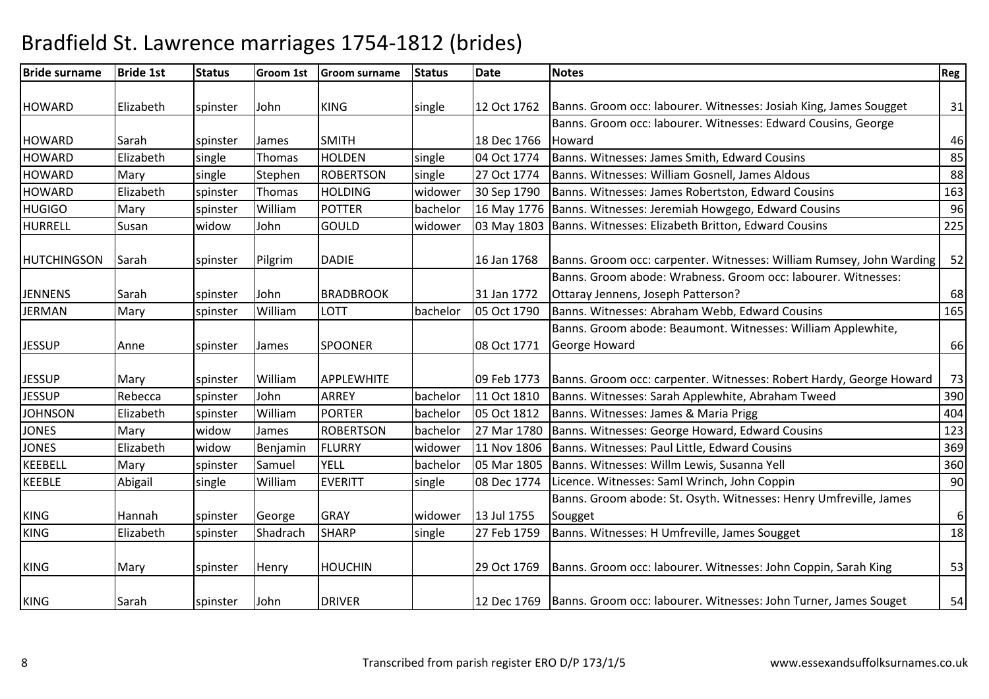| <b>Bride surname</b> | <b>Bride 1st</b> | <b>Status</b> | Groom 1st    | <b>Groom surname</b> | <b>Status</b> | <b>Date</b> | <b>Notes</b>                                                                   | <b>Reg</b> |
|----------------------|------------------|---------------|--------------|----------------------|---------------|-------------|--------------------------------------------------------------------------------|------------|
|                      |                  |               |              |                      |               |             |                                                                                |            |
| <b>HOWARD</b>        | Elizabeth        | spinster      | John         | <b>KING</b>          | single        | 12 Oct 1762 | Banns. Groom occ: labourer. Witnesses: Josiah King, James Sougget              | 31         |
|                      |                  |               |              |                      |               |             | Banns. Groom occ: labourer. Witnesses: Edward Cousins, George                  |            |
| <b>HOWARD</b>        | Sarah            | spinster      | <b>James</b> | <b>SMITH</b>         |               | 18 Dec 1766 | Howard                                                                         | 46         |
| <b>HOWARD</b>        | Elizabeth        | single        | Thomas       | <b>HOLDEN</b>        | single        | 04 Oct 1774 | Banns. Witnesses: James Smith, Edward Cousins                                  | 85         |
| <b>HOWARD</b>        | Mary             | single        | Stephen      | <b>ROBERTSON</b>     | single        | 27 Oct 1774 | Banns. Witnesses: William Gosnell, James Aldous                                | 88         |
| <b>HOWARD</b>        | Elizabeth        | spinster      | Thomas       | <b>HOLDING</b>       | widower       | 30 Sep 1790 | Banns. Witnesses: James Robertston, Edward Cousins                             | 163        |
| <b>HUGIGO</b>        | Mary             | spinster      | William      | <b>POTTER</b>        | bachelor      | 16 May 1776 | Banns. Witnesses: Jeremiah Howgego, Edward Cousins                             | 96         |
| <b>HURRELL</b>       | Susan            | widow         | John         | <b>GOULD</b>         | widower       | 03 May 1803 | Banns. Witnesses: Elizabeth Britton, Edward Cousins                            | 225        |
| <b>HUTCHINGSON</b>   | Sarah            | spinster      | Pilgrim      | <b>DADIE</b>         |               | 16 Jan 1768 | Banns. Groom occ: carpenter. Witnesses: William Rumsey, John Warding           | 52         |
|                      |                  |               |              |                      |               |             | Banns. Groom abode: Wrabness. Groom occ: labourer. Witnesses:                  |            |
| <b>JENNENS</b>       | Sarah            | spinster      | John         | <b>BRADBROOK</b>     |               | 31 Jan 1772 | Ottaray Jennens, Joseph Patterson?                                             | 68         |
| <b>JERMAN</b>        | Mary             | spinster      | William      | <b>LOTT</b>          | bachelor      | 05 Oct 1790 | Banns. Witnesses: Abraham Webb, Edward Cousins                                 | 165        |
|                      |                  |               |              |                      |               |             | Banns. Groom abode: Beaumont. Witnesses: William Applewhite,                   |            |
| <b>JESSUP</b>        | Anne             | spinster      | James        | <b>SPOONER</b>       |               | 08 Oct 1771 | George Howard                                                                  | 66         |
| <b>JESSUP</b>        | Mary             | spinster      | William      | APPLEWHITE           |               | 09 Feb 1773 | Banns. Groom occ: carpenter. Witnesses: Robert Hardy, George Howard            | 73         |
| <b>JESSUP</b>        | Rebecca          | spinster      | John         | ARREY                | bachelor      | 11 Oct 1810 | Banns. Witnesses: Sarah Applewhite, Abraham Tweed                              | 390        |
| <b>JOHNSON</b>       | Elizabeth        | spinster      | William      | <b>PORTER</b>        | bachelor      | 05 Oct 1812 | Banns. Witnesses: James & Maria Prigg                                          | 404        |
| <b>JONES</b>         | Mary             | widow         | James        | <b>ROBERTSON</b>     | bachelor      | 27 Mar 1780 | Banns. Witnesses: George Howard, Edward Cousins                                | 123        |
| <b>JONES</b>         | Elizabeth        | widow         | Benjamin     | <b>FLURRY</b>        | widower       | 11 Nov 1806 | Banns. Witnesses: Paul Little, Edward Cousins                                  | 369        |
| <b>KEEBELL</b>       | Mary             | spinster      | Samuel       | <b>YELL</b>          | bachelor      | 05 Mar 1805 | Banns. Witnesses: Willm Lewis, Susanna Yell                                    | 360        |
| <b>KEEBLE</b>        | Abigail          | single        | William      | <b>EVERITT</b>       | single        | 08 Dec 1774 | Licence. Witnesses: Saml Wrinch, John Coppin                                   | 90         |
|                      |                  |               |              |                      |               |             | Banns. Groom abode: St. Osyth. Witnesses: Henry Umfreville, James              |            |
| <b>KING</b>          | Hannah           | spinster      | George       | <b>GRAY</b>          | widower       | 13 Jul 1755 | Sougget                                                                        | $6 \mid$   |
| <b>KING</b>          | Elizabeth        | spinster      | Shadrach     | <b>SHARP</b>         | single        | 27 Feb 1759 | Banns. Witnesses: H Umfreville, James Sougget                                  | 18         |
| <b>KING</b>          | Mary             | spinster      | Henry        | <b>HOUCHIN</b>       |               | 29 Oct 1769 | Banns. Groom occ: labourer. Witnesses: John Coppin, Sarah King                 | 53         |
| <b>KING</b>          | Sarah            | spinster      | John         | <b>DRIVER</b>        |               |             | 12 Dec 1769   Banns. Groom occ: labourer. Witnesses: John Turner, James Souget | 54         |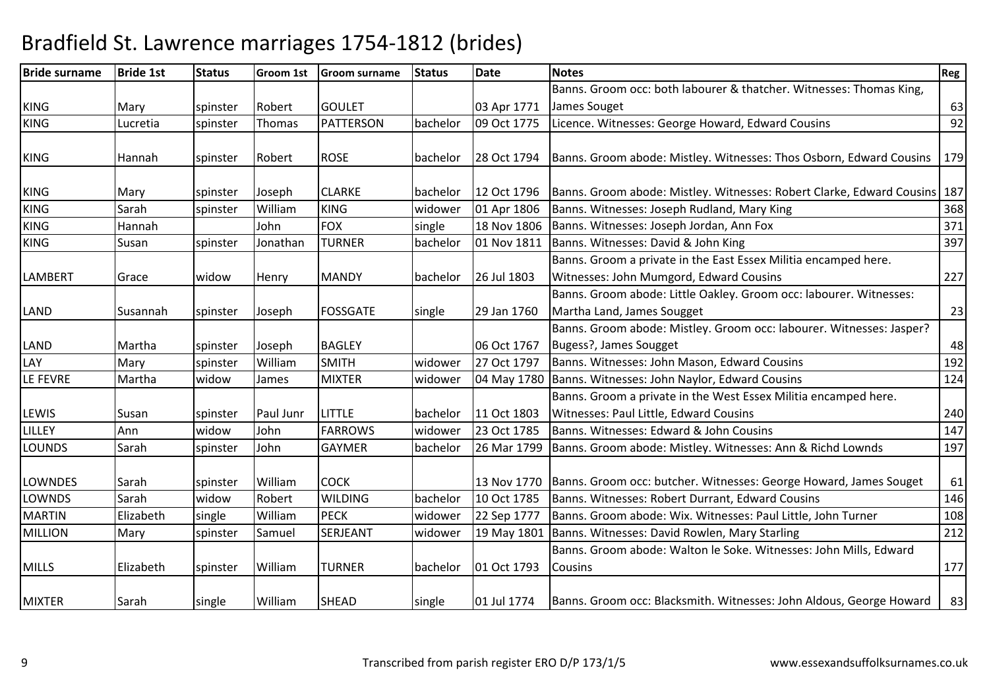| <b>Bride surname</b> | <b>Bride 1st</b> | <b>Status</b> | Groom 1st | <b>Groom surname</b> | <b>Status</b> | <b>Date</b> | <b>Notes</b>                                                                | Reg |
|----------------------|------------------|---------------|-----------|----------------------|---------------|-------------|-----------------------------------------------------------------------------|-----|
|                      |                  |               |           |                      |               |             | Banns. Groom occ: both labourer & thatcher. Witnesses: Thomas King,         |     |
| <b>KING</b>          | Mary             | spinster      | Robert    | <b>GOULET</b>        |               | 03 Apr 1771 | James Souget                                                                | 63  |
| <b>KING</b>          | Lucretia         | spinster      | Thomas    | <b>PATTERSON</b>     | bachelor      | 09 Oct 1775 | Licence. Witnesses: George Howard, Edward Cousins                           | 92  |
|                      |                  |               |           |                      |               |             |                                                                             |     |
| <b>KING</b>          | Hannah           | spinster      | Robert    | <b>ROSE</b>          | bachelor      | 28 Oct 1794 | Banns. Groom abode: Mistley. Witnesses: Thos Osborn, Edward Cousins         | 179 |
|                      |                  |               |           |                      |               |             |                                                                             |     |
| <b>KING</b>          | Mary             | spinster      | Joseph    | <b>CLARKE</b>        | bachelor      | 12 Oct 1796 | Banns. Groom abode: Mistley. Witnesses: Robert Clarke, Edward Cousins   187 |     |
| <b>KING</b>          | Sarah            | spinster      | William   | <b>KING</b>          | widower       | 01 Apr 1806 | Banns. Witnesses: Joseph Rudland, Mary King                                 | 368 |
| <b>KING</b>          | Hannah           |               | John      | <b>FOX</b>           | single        | 18 Nov 1806 | Banns. Witnesses: Joseph Jordan, Ann Fox                                    | 371 |
| <b>KING</b>          | Susan            | spinster      | Jonathan  | <b>TURNER</b>        | bachelor      | 01 Nov 1811 | Banns. Witnesses: David & John King                                         | 397 |
|                      |                  |               |           |                      |               |             | Banns. Groom a private in the East Essex Militia encamped here.             |     |
| <b>LAMBERT</b>       | Grace            | widow         | Henry     | <b>MANDY</b>         | bachelor      | 26 Jul 1803 | Witnesses: John Mumgord, Edward Cousins                                     | 227 |
|                      |                  |               |           |                      |               |             | Banns. Groom abode: Little Oakley. Groom occ: labourer. Witnesses:          |     |
| <b>LAND</b>          | Susannah         | spinster      | Joseph    | <b>FOSSGATE</b>      | single        | 29 Jan 1760 | Martha Land, James Sougget                                                  | 23  |
|                      |                  |               |           |                      |               |             | Banns. Groom abode: Mistley. Groom occ: labourer. Witnesses: Jasper?        |     |
| <b>LAND</b>          | Martha           | spinster      | Joseph    | <b>BAGLEY</b>        |               | 06 Oct 1767 | Bugess?, James Sougget                                                      | 48  |
| LAY                  | Mary             | spinster      | William   | <b>SMITH</b>         | widower       | 27 Oct 1797 | Banns. Witnesses: John Mason, Edward Cousins                                | 192 |
| LE FEVRE             | Martha           | widow         | James     | <b>MIXTER</b>        | widower       | 04 May 1780 | Banns. Witnesses: John Naylor, Edward Cousins                               | 124 |
|                      |                  |               |           |                      |               |             | Banns. Groom a private in the West Essex Militia encamped here.             |     |
| LEWIS                | Susan            | spinster      | Paul Junr | <b>LITTLE</b>        | bachelor      | 11 Oct 1803 | Witnesses: Paul Little, Edward Cousins                                      | 240 |
| <b>LILLEY</b>        | Ann              | widow         | John      | <b>FARROWS</b>       | widower       | 23 Oct 1785 | Banns. Witnesses: Edward & John Cousins                                     | 147 |
| <b>LOUNDS</b>        | Sarah            | spinster      | John      | <b>GAYMER</b>        | bachelor      | 26 Mar 1799 | Banns. Groom abode: Mistley. Witnesses: Ann & Richd Lownds                  | 197 |
|                      |                  |               |           |                      |               |             |                                                                             |     |
| <b>LOWNDES</b>       | Sarah            | spinster      | William   | <b>COCK</b>          |               | 13 Nov 1770 | Banns. Groom occ: butcher. Witnesses: George Howard, James Souget           | 61  |
| <b>LOWNDS</b>        | Sarah            | widow         | Robert    | <b>WILDING</b>       | bachelor      | 10 Oct 1785 | Banns. Witnesses: Robert Durrant, Edward Cousins                            | 146 |
| <b>MARTIN</b>        | Elizabeth        | single        | William   | <b>PECK</b>          | widower       | 22 Sep 1777 | Banns. Groom abode: Wix. Witnesses: Paul Little, John Turner                | 108 |
| <b>MILLION</b>       | Mary             | spinster      | Samuel    | SERJEANT             | widower       | 19 May 1801 | Banns. Witnesses: David Rowlen, Mary Starling                               | 212 |
|                      |                  |               |           |                      |               |             | Banns. Groom abode: Walton le Soke. Witnesses: John Mills, Edward           |     |
| <b>MILLS</b>         | Elizabeth        | spinster      | William   | <b>TURNER</b>        | bachelor      | 01 Oct 1793 | <b>Cousins</b>                                                              | 177 |
|                      |                  |               |           |                      |               |             |                                                                             |     |
| <b>MIXTER</b>        | Sarah            | single        | William   | <b>SHEAD</b>         | single        | 01 Jul 1774 | Banns. Groom occ: Blacksmith. Witnesses: John Aldous, George Howard         | 83  |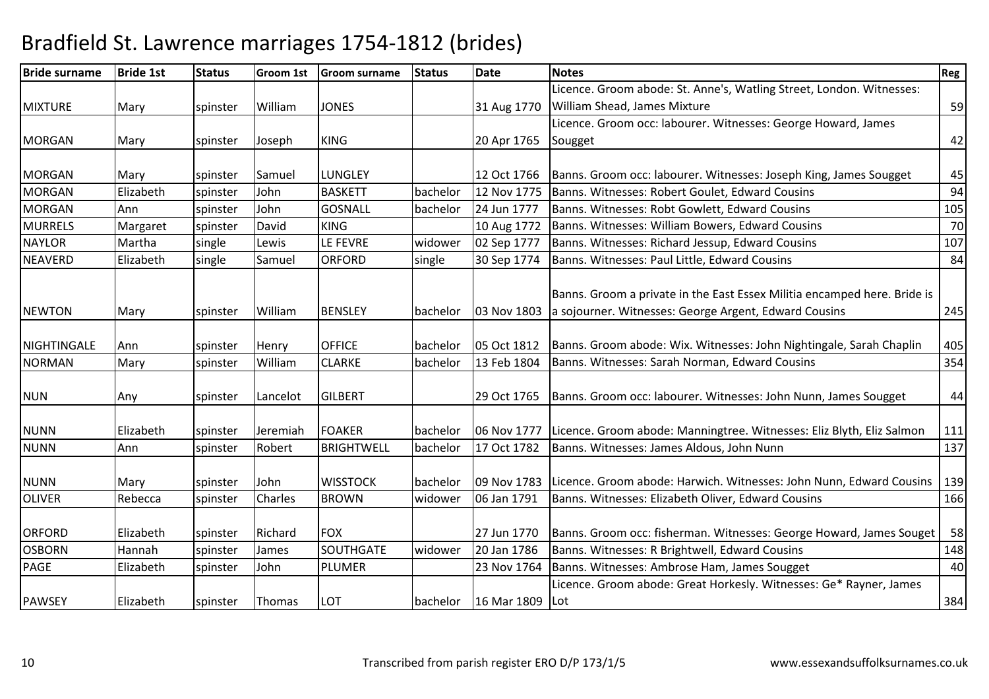| <b>Bride surname</b> | <b>Bride 1st</b> | <b>Status</b> | <b>Groom 1st</b> | <b>Groom surname</b> | <b>Status</b> | <b>Date</b>       | <b>Notes</b>                                                                                                                      | Reg |
|----------------------|------------------|---------------|------------------|----------------------|---------------|-------------------|-----------------------------------------------------------------------------------------------------------------------------------|-----|
|                      |                  |               |                  |                      |               |                   | Licence. Groom abode: St. Anne's, Watling Street, London. Witnesses:                                                              |     |
| <b>MIXTURE</b>       | Mary             | spinster      | William          | <b>JONES</b>         |               | 31 Aug 1770       | William Shead, James Mixture                                                                                                      | 59  |
|                      |                  |               |                  |                      |               |                   | Licence. Groom occ: labourer. Witnesses: George Howard, James                                                                     |     |
| <b>MORGAN</b>        | Mary             | spinster      | Joseph           | <b>KING</b>          |               | 20 Apr 1765       | Sougget                                                                                                                           | 42  |
|                      |                  |               |                  |                      |               |                   |                                                                                                                                   |     |
| <b>MORGAN</b>        | Mary             | spinster      | Samuel           | <b>LUNGLEY</b>       |               | 12 Oct 1766       | Banns. Groom occ: labourer. Witnesses: Joseph King, James Sougget                                                                 | 45  |
| <b>MORGAN</b>        | Elizabeth        | spinster      | John             | <b>BASKETT</b>       | bachelor      | 12 Nov 1775       | Banns. Witnesses: Robert Goulet, Edward Cousins                                                                                   | 94  |
| <b>MORGAN</b>        | Ann              | spinster      | John             | <b>GOSNALL</b>       | bachelor      | 24 Jun 1777       | Banns. Witnesses: Robt Gowlett, Edward Cousins                                                                                    | 105 |
| <b>MURRELS</b>       | Margaret         | spinster      | David            | <b>KING</b>          |               | 10 Aug 1772       | Banns. Witnesses: William Bowers, Edward Cousins                                                                                  | 70  |
| <b>NAYLOR</b>        | Martha           | single        | Lewis            | LE FEVRE             | widower       | 02 Sep 1777       | Banns. Witnesses: Richard Jessup, Edward Cousins                                                                                  | 107 |
| <b>NEAVERD</b>       | Elizabeth        | single        | Samuel           | <b>ORFORD</b>        | single        | 30 Sep 1774       | Banns. Witnesses: Paul Little, Edward Cousins                                                                                     | 84  |
| <b>NEWTON</b>        | Mary             | spinster      | William          | <b>BENSLEY</b>       | bachelor      | 03 Nov 1803       | Banns. Groom a private in the East Essex Militia encamped here. Bride is<br>a sojourner. Witnesses: George Argent, Edward Cousins | 245 |
|                      |                  |               |                  |                      |               |                   |                                                                                                                                   |     |
| <b>NIGHTINGALE</b>   | Ann              | spinster      | Henry            | <b>OFFICE</b>        | bachelor      | 05 Oct 1812       | Banns. Groom abode: Wix. Witnesses: John Nightingale, Sarah Chaplin                                                               | 405 |
| <b>NORMAN</b>        | Mary             | spinster      | William          | <b>CLARKE</b>        | bachelor      | 13 Feb 1804       | Banns. Witnesses: Sarah Norman, Edward Cousins                                                                                    | 354 |
| <b>NUN</b>           | Any              | spinster      | Lancelot         | <b>GILBERT</b>       |               | 29 Oct 1765       | Banns. Groom occ: labourer. Witnesses: John Nunn, James Sougget                                                                   | 44  |
| <b>NUNN</b>          | Elizabeth        | spinster      | Jeremiah         | <b>FOAKER</b>        | bachelor      | 06 Nov 1777       | Licence. Groom abode: Manningtree. Witnesses: Eliz Blyth, Eliz Salmon                                                             | 111 |
| <b>NUNN</b>          | Ann              | spinster      | Robert           | <b>BRIGHTWELL</b>    | bachelor      | 17 Oct 1782       | Banns. Witnesses: James Aldous, John Nunn                                                                                         | 137 |
| <b>NUNN</b>          | Mary             | spinster      | John             | <b>WISSTOCK</b>      | bachelor      | 09 Nov 1783       | Licence. Groom abode: Harwich. Witnesses: John Nunn, Edward Cousins                                                               | 139 |
| <b>OLIVER</b>        | Rebecca          | spinster      | Charles          | <b>BROWN</b>         | widower       | 06 Jan 1791       | Banns. Witnesses: Elizabeth Oliver, Edward Cousins                                                                                | 166 |
| <b>ORFORD</b>        | Elizabeth        | spinster      | Richard          | <b>FOX</b>           |               | 27 Jun 1770       | Banns. Groom occ: fisherman. Witnesses: George Howard, James Souget                                                               | 58  |
| <b>OSBORN</b>        | Hannah           | spinster      | James            | SOUTHGATE            | widower       | 20 Jan 1786       | Banns. Witnesses: R Brightwell, Edward Cousins                                                                                    | 148 |
| PAGE                 | Elizabeth        | spinster      | John             | PLUMER               |               | 23 Nov 1764       | Banns. Witnesses: Ambrose Ham, James Sougget                                                                                      | 40  |
| <b>PAWSEY</b>        | Elizabeth        | spinster      | Thomas           | LOT                  | bachelor      | 16 Mar 1809   Lot | Licence. Groom abode: Great Horkesly. Witnesses: Ge* Rayner, James                                                                | 384 |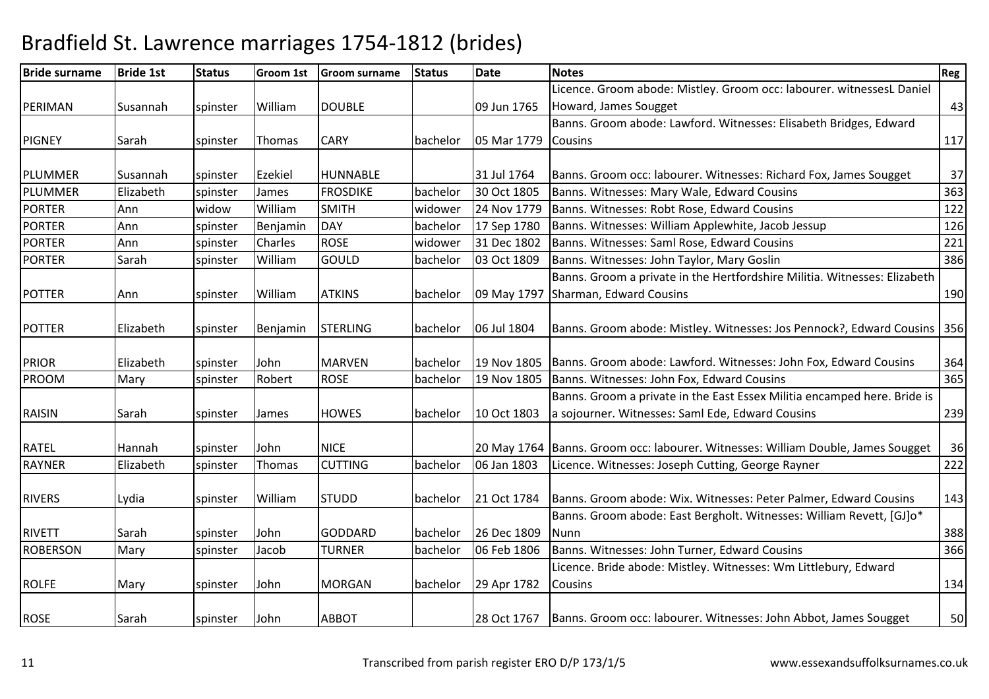| <b>Bride surname</b> | <b>Bride 1st</b> | <b>Status</b> | <b>Groom 1st</b> | <b>Groom surname</b> | <b>Status</b> | <b>Date</b> | <b>Notes</b>                                                                     | Reg |
|----------------------|------------------|---------------|------------------|----------------------|---------------|-------------|----------------------------------------------------------------------------------|-----|
|                      |                  |               |                  |                      |               |             | Licence. Groom abode: Mistley. Groom occ: labourer. witnessesL Daniel            |     |
| PERIMAN              | Susannah         | spinster      | William          | <b>DOUBLE</b>        |               | 09 Jun 1765 | Howard, James Sougget                                                            | 43  |
|                      |                  |               |                  |                      |               |             | Banns. Groom abode: Lawford. Witnesses: Elisabeth Bridges, Edward                |     |
| <b>PIGNEY</b>        | Sarah            | spinster      | Thomas           | <b>CARY</b>          | bachelor      | 05 Mar 1779 | <b>Cousins</b>                                                                   | 117 |
|                      |                  |               |                  |                      |               |             |                                                                                  |     |
| PLUMMER              | Susannah         | spinster      | Ezekiel          | <b>HUNNABLE</b>      |               | 31 Jul 1764 | Banns. Groom occ: labourer. Witnesses: Richard Fox, James Sougget                | 37  |
| <b>PLUMMER</b>       | Elizabeth        | spinster      | James            | <b>FROSDIKE</b>      | bachelor      | 30 Oct 1805 | Banns. Witnesses: Mary Wale, Edward Cousins                                      | 363 |
| <b>PORTER</b>        | Ann              | widow         | William          | <b>SMITH</b>         | widower       | 24 Nov 1779 | Banns. Witnesses: Robt Rose, Edward Cousins                                      | 122 |
| <b>PORTER</b>        | Ann              | spinster      | Benjamin         | <b>DAY</b>           | bachelor      | 17 Sep 1780 | Banns. Witnesses: William Applewhite, Jacob Jessup                               | 126 |
| <b>PORTER</b>        | Ann              | spinster      | Charles          | <b>ROSE</b>          | widower       | 31 Dec 1802 | Banns. Witnesses: Saml Rose, Edward Cousins                                      | 221 |
| <b>PORTER</b>        | Sarah            | spinster      | William          | GOULD                | bachelor      | 03 Oct 1809 | Banns. Witnesses: John Taylor, Mary Goslin                                       | 386 |
|                      |                  |               |                  |                      |               |             | Banns. Groom a private in the Hertfordshire Militia. Witnesses: Elizabeth        |     |
| <b>POTTER</b>        | Ann              | spinster      | William          | <b>ATKINS</b>        | bachelor      | 09 May 1797 | Sharman, Edward Cousins                                                          | 190 |
|                      |                  |               |                  |                      |               |             |                                                                                  |     |
| <b>POTTER</b>        | Elizabeth        | spinster      | Benjamin         | <b>STERLING</b>      | bachelor      | 06 Jul 1804 | Banns. Groom abode: Mistley. Witnesses: Jos Pennock?, Edward Cousins   356       |     |
|                      |                  |               |                  |                      |               |             |                                                                                  |     |
| <b>PRIOR</b>         | Elizabeth        | spinster      | John             | <b>MARVEN</b>        | bachelor      | 19 Nov 1805 | Banns. Groom abode: Lawford. Witnesses: John Fox, Edward Cousins                 | 364 |
| PROOM                | Mary             | spinster      | Robert           | <b>ROSE</b>          | bachelor      | 19 Nov 1805 | Banns. Witnesses: John Fox, Edward Cousins                                       | 365 |
|                      |                  |               |                  |                      |               |             | Banns. Groom a private in the East Essex Militia encamped here. Bride is         |     |
| <b>RAISIN</b>        | Sarah            | spinster      | James            | <b>HOWES</b>         | bachelor      | 10 Oct 1803 | a sojourner. Witnesses: Saml Ede, Edward Cousins                                 | 239 |
|                      |                  |               |                  |                      |               |             |                                                                                  |     |
| <b>RATEL</b>         | Hannah           | spinster      | John             | <b>NICE</b>          |               |             | 20 May 1764 Banns. Groom occ: labourer. Witnesses: William Double, James Sougget | 36  |
| <b>RAYNER</b>        | Elizabeth        | spinster      | Thomas           | <b>CUTTING</b>       | bachelor      | 06 Jan 1803 | Licence. Witnesses: Joseph Cutting, George Rayner                                | 222 |
| <b>RIVERS</b>        | Lydia            | spinster      | William          | <b>STUDD</b>         | bachelor      | 21 Oct 1784 | Banns. Groom abode: Wix. Witnesses: Peter Palmer, Edward Cousins                 | 143 |
|                      |                  |               |                  |                      |               |             | Banns. Groom abode: East Bergholt. Witnesses: William Revett, [GJ]o*             |     |
| <b>RIVETT</b>        | Sarah            | spinster      | John             | <b>GODDARD</b>       | bachelor      | 26 Dec 1809 | Nunn                                                                             | 388 |
| <b>ROBERSON</b>      | Mary             | spinster      | Jacob            | <b>TURNER</b>        | bachelor      | 06 Feb 1806 | Banns. Witnesses: John Turner, Edward Cousins                                    | 366 |
|                      |                  |               |                  |                      |               |             | Licence. Bride abode: Mistley. Witnesses: Wm Littlebury, Edward                  |     |
| <b>ROLFE</b>         | Mary             | spinster      | John             | <b>MORGAN</b>        | bachelor      | 29 Apr 1782 | <b>Cousins</b>                                                                   | 134 |
| <b>ROSE</b>          | Sarah            | spinster      | John             | ABBOT                |               |             | 28 Oct 1767   Banns. Groom occ: labourer. Witnesses: John Abbot, James Sougget   | 50  |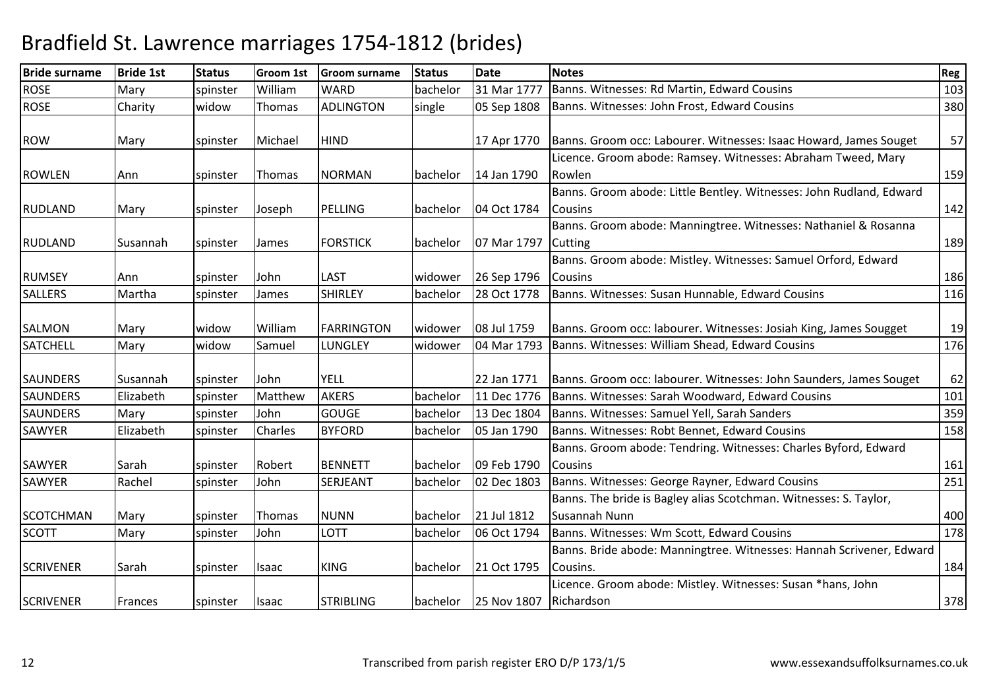| <b>Bride surname</b>           | <b>Bride 1st</b>   | <b>Status</b>        | <b>Groom 1st</b>  | <b>Groom surname</b>            | <b>Status</b>        | <b>Date</b>                | <b>Notes</b>                                                                                                                       | Reg        |
|--------------------------------|--------------------|----------------------|-------------------|---------------------------------|----------------------|----------------------------|------------------------------------------------------------------------------------------------------------------------------------|------------|
| <b>ROSE</b>                    | Mary               | spinster             | William           | <b>WARD</b>                     | bachelor             | 31 Mar 177                 | Banns. Witnesses: Rd Martin, Edward Cousins                                                                                        | 103        |
| <b>ROSE</b>                    | Charity            | widow                | Thomas            | <b>ADLINGTON</b>                | single               | 05 Sep 1808                | Banns. Witnesses: John Frost, Edward Cousins                                                                                       | 380        |
| <b>ROW</b>                     | Mary               | spinster             | Michael           | <b>HIND</b>                     |                      | 17 Apr 1770                | Banns. Groom occ: Labourer. Witnesses: Isaac Howard, James Souget                                                                  | 57         |
| <b>ROWLEN</b>                  | Ann                | spinster             | Thomas            | <b>NORMAN</b>                   | bachelor             | 14 Jan 1790                | Licence. Groom abode: Ramsey. Witnesses: Abraham Tweed, Mary<br>Rowlen                                                             | 159        |
| <b>RUDLAND</b>                 | Mary               | spinster             | Joseph            | PELLING                         | bachelor             | 04 Oct 1784                | Banns. Groom abode: Little Bentley. Witnesses: John Rudland, Edward<br><b>Cousins</b>                                              | 142        |
| <b>RUDLAND</b>                 | Susannah           | spinster             | James             | <b>FORSTICK</b>                 | bachelor             | 07 Mar 1797                | Banns. Groom abode: Manningtree. Witnesses: Nathaniel & Rosanna<br>Cutting                                                         | 189        |
| <b>RUMSEY</b>                  | Ann                | spinster             | John              | <b>LAST</b>                     | widower              | 26 Sep 1796                | Banns. Groom abode: Mistley. Witnesses: Samuel Orford, Edward<br><b>Cousins</b>                                                    | 186        |
| <b>SALLERS</b>                 | Martha             | spinster             | James             | <b>SHIRLEY</b>                  | bachelor             | 28 Oct 1778                | Banns. Witnesses: Susan Hunnable, Edward Cousins                                                                                   | 116        |
| SALMON                         | Mary               | widow                | William           | <b>FARRINGTON</b>               | widower              | 08 Jul 1759                | Banns. Groom occ: labourer. Witnesses: Josiah King, James Sougget                                                                  | 19         |
| <b>SATCHELL</b>                | Mary               | widow                | Samuel            | <b>LUNGLEY</b>                  | widower              | 04 Mar 1793                | Banns. Witnesses: William Shead, Edward Cousins                                                                                    | 176        |
| <b>SAUNDERS</b>                | Susannah           | spinster             | John              | <b>YELL</b>                     |                      | 22 Jan 1771                | Banns. Groom occ: labourer. Witnesses: John Saunders, James Souget                                                                 | 62         |
| <b>SAUNDERS</b>                | Elizabeth          | spinster             | Matthew           | <b>AKERS</b>                    | bachelor             | 11 Dec 1776                | Banns. Witnesses: Sarah Woodward, Edward Cousins                                                                                   | 101        |
| <b>SAUNDERS</b>                | Mary               | spinster             | John              | <b>GOUGE</b>                    | bachelor             | 13 Dec 1804                | Banns. Witnesses: Samuel Yell, Sarah Sanders                                                                                       | 359        |
| <b>SAWYER</b><br><b>SAWYER</b> | Elizabeth<br>Sarah | spinster<br>spinster | Charles<br>Robert | <b>BYFORD</b><br><b>BENNETT</b> | bachelor<br>bachelor | 05 Jan 1790<br>09 Feb 1790 | Banns. Witnesses: Robt Bennet, Edward Cousins<br>Banns. Groom abode: Tendring. Witnesses: Charles Byford, Edward<br><b>Cousins</b> | 158<br>161 |
| <b>SAWYER</b>                  | Rachel             | spinster             | John              | SERJEANT                        | bachelor             | 02 Dec 1803                | Banns. Witnesses: George Rayner, Edward Cousins                                                                                    | 251        |
| <b>SCOTCHMAN</b>               | Mary               | spinster             | Thomas            | <b>NUNN</b>                     | bachelor             | 21 Jul 1812                | Banns. The bride is Bagley alias Scotchman. Witnesses: S. Taylor,<br>Susannah Nunn                                                 | 400        |
| <b>SCOTT</b>                   | Mary               | spinster             | John              | LOTT                            | bachelor             | 06 Oct 1794                | Banns. Witnesses: Wm Scott, Edward Cousins                                                                                         | 178        |
| <b>SCRIVENER</b>               | Sarah              | spinster             | Isaac             | <b>KING</b>                     | bachelor             | 21 Oct 1795                | Banns. Bride abode: Manningtree. Witnesses: Hannah Scrivener, Edward<br>Cousins.                                                   | 184        |
| <b>SCRIVENER</b>               | Frances            | spinster             | <b>Isaac</b>      | <b>STRIBLING</b>                | bachelor             | 25 Nov 1807                | Licence. Groom abode: Mistley. Witnesses: Susan *hans, John<br>Richardson                                                          | 378        |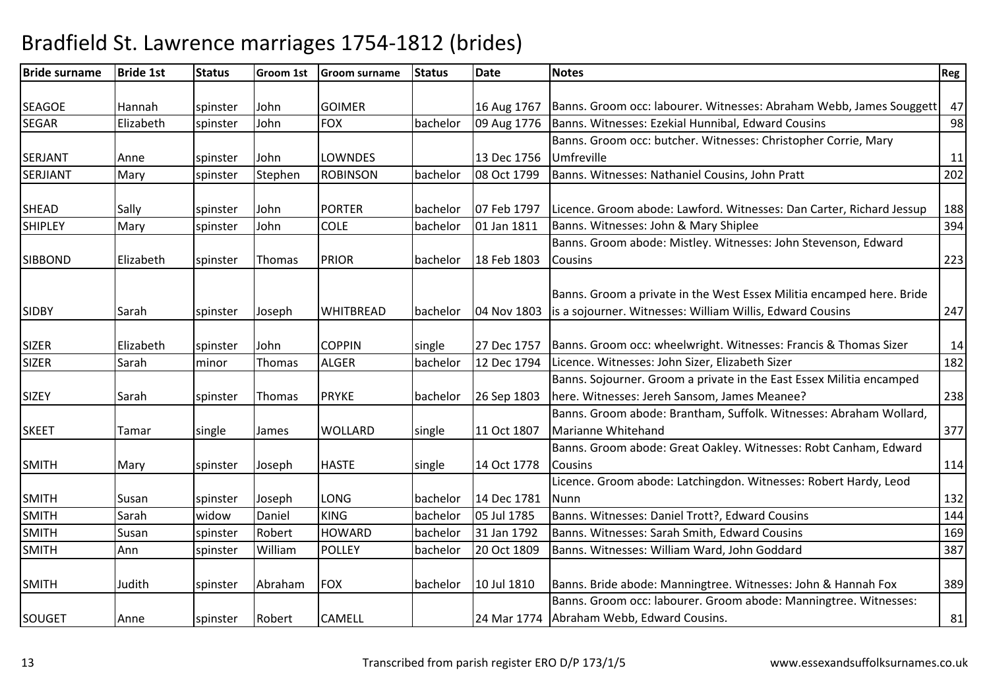| <b>Bride surname</b> | <b>Bride 1st</b> | <b>Status</b> | <b>Groom 1st</b> | <b>Groom surname</b> | <b>Status</b> | <b>Date</b> | <b>Notes</b>                                                                                                                      | Reg |
|----------------------|------------------|---------------|------------------|----------------------|---------------|-------------|-----------------------------------------------------------------------------------------------------------------------------------|-----|
|                      |                  |               |                  |                      |               |             |                                                                                                                                   |     |
| <b>SEAGOE</b>        | Hannah           | spinster      | John             | <b>GOIMER</b>        |               | 16 Aug 1767 | Banns. Groom occ: labourer. Witnesses: Abraham Webb, James Souggett                                                               | 47  |
| <b>SEGAR</b>         | Elizabeth        | spinster      | John             | <b>FOX</b>           | bachelor      | 09 Aug 1776 | Banns. Witnesses: Ezekial Hunnibal, Edward Cousins                                                                                | 98  |
|                      |                  |               |                  |                      |               |             | Banns. Groom occ: butcher. Witnesses: Christopher Corrie, Mary                                                                    |     |
| <b>SERJANT</b>       | Anne             | spinster      | John             | <b>LOWNDES</b>       |               | 13 Dec 1756 | Umfreville                                                                                                                        | 11  |
| <b>SERJIANT</b>      | Mary             | spinster      | Stephen          | <b>ROBINSON</b>      | bachelor      | 08 Oct 1799 | Banns. Witnesses: Nathaniel Cousins, John Pratt                                                                                   | 202 |
|                      |                  |               |                  | <b>PORTER</b>        |               |             |                                                                                                                                   |     |
| <b>SHEAD</b>         | Sally            | spinster      | John             |                      | bachelor      | 07 Feb 1797 | Licence. Groom abode: Lawford. Witnesses: Dan Carter, Richard Jessup                                                              | 188 |
| <b>SHIPLEY</b>       | Mary             | spinster      | John             | <b>COLE</b>          | bachelor      | 01 Jan 1811 | Banns. Witnesses: John & Mary Shiplee                                                                                             | 394 |
|                      |                  |               |                  |                      |               |             | Banns. Groom abode: Mistley. Witnesses: John Stevenson, Edward                                                                    |     |
| <b>SIBBOND</b>       | Elizabeth        | spinster      | <b>Thomas</b>    | <b>PRIOR</b>         | bachelor      | 18 Feb 1803 | <b>Cousins</b>                                                                                                                    | 223 |
|                      |                  |               |                  |                      |               |             | Banns. Groom a private in the West Essex Militia encamped here. Bride                                                             |     |
| <b>SIDBY</b>         | Sarah            | spinster      | Joseph           | <b>WHITBREAD</b>     | bachelor      | 04 Nov 1803 | is a sojourner. Witnesses: William Willis, Edward Cousins                                                                         | 247 |
|                      |                  |               |                  |                      |               |             |                                                                                                                                   |     |
| <b>SIZER</b>         | Elizabeth        | spinster      | John             | <b>COPPIN</b>        | single        | 27 Dec 1757 | Banns. Groom occ: wheelwright. Witnesses: Francis & Thomas Sizer                                                                  | 14  |
| <b>SIZER</b>         | Sarah            | minor         | Thomas           | <b>ALGER</b>         | bachelor      | 12 Dec 1794 | Licence. Witnesses: John Sizer, Elizabeth Sizer                                                                                   | 182 |
|                      |                  |               |                  |                      |               |             | Banns. Sojourner. Groom a private in the East Essex Militia encamped                                                              |     |
| <b>SIZEY</b>         | Sarah            | spinster      | Thomas           | <b>PRYKE</b>         | bachelor      | 26 Sep 1803 | here. Witnesses: Jereh Sansom, James Meanee?                                                                                      | 238 |
|                      |                  |               |                  |                      |               |             | Banns. Groom abode: Brantham, Suffolk. Witnesses: Abraham Wollard,                                                                |     |
| <b>SKEET</b>         | Tamar            | single        | James            | <b>WOLLARD</b>       | single        | 11 Oct 1807 | Marianne Whitehand                                                                                                                | 377 |
|                      |                  |               |                  |                      |               |             | Banns. Groom abode: Great Oakley. Witnesses: Robt Canham, Edward                                                                  |     |
| <b>SMITH</b>         | Mary             | spinster      | Joseph           | <b>HASTE</b>         | single        | 14 Oct 1778 | <b>Cousins</b>                                                                                                                    | 114 |
|                      |                  |               |                  |                      |               |             | Licence. Groom abode: Latchingdon. Witnesses: Robert Hardy, Leod                                                                  |     |
| <b>SMITH</b>         | Susan            | spinster      | Joseph           | LONG                 | bachelor      | 14 Dec 1781 | Nunn                                                                                                                              | 132 |
| <b>SMITH</b>         | Sarah            | widow         | Daniel           | <b>KING</b>          | bachelor      | 05 Jul 1785 | Banns. Witnesses: Daniel Trott?, Edward Cousins                                                                                   | 144 |
| <b>SMITH</b>         | Susan            | spinster      | Robert           | <b>HOWARD</b>        | bachelor      | 31 Jan 1792 | Banns. Witnesses: Sarah Smith, Edward Cousins                                                                                     | 169 |
| <b>SMITH</b>         | Ann              | spinster      | William          | <b>POLLEY</b>        | bachelor      | 20 Oct 1809 | Banns. Witnesses: William Ward, John Goddard                                                                                      | 387 |
| <b>SMITH</b>         | Judith           |               |                  | <b>FOX</b>           |               | 10 Jul 1810 |                                                                                                                                   |     |
|                      |                  | spinster      | Abraham          |                      | bachelor      |             | Banns. Bride abode: Manningtree. Witnesses: John & Hannah Fox<br>Banns. Groom occ: labourer. Groom abode: Manningtree. Witnesses: | 389 |
| SOUGET               | Anne             | spinster      | Robert           | <b>CAMELL</b>        |               |             | 24 Mar 1774 Abraham Webb, Edward Cousins.                                                                                         | 81  |
|                      |                  |               |                  |                      |               |             |                                                                                                                                   |     |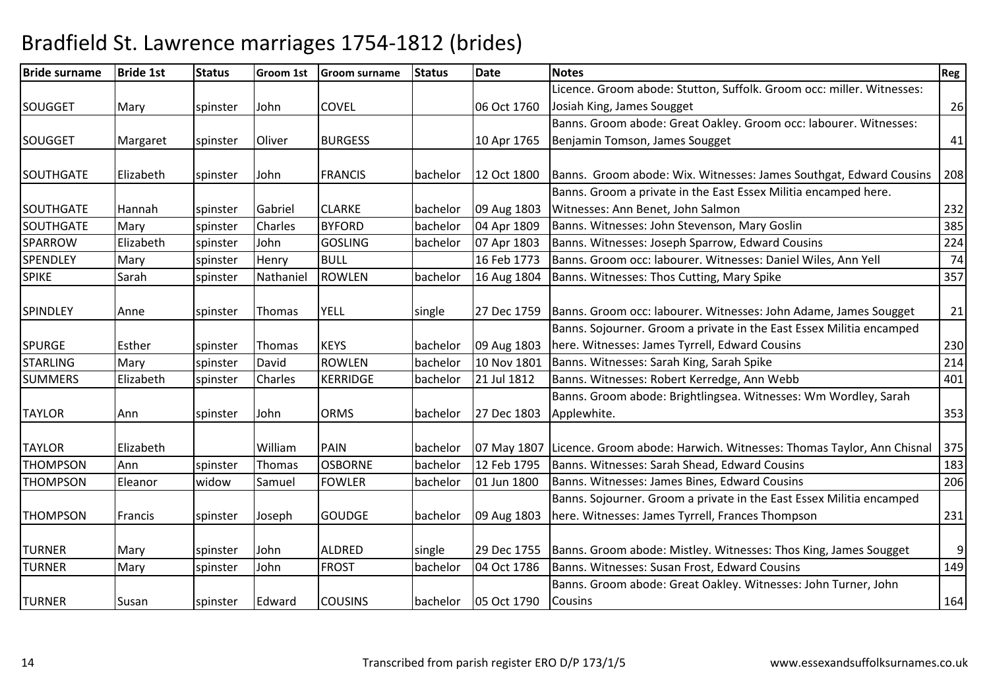| <b>Bride surname</b> | <b>Bride 1st</b> | <b>Status</b> | <b>Groom 1st</b> | <b>Groom surname</b> | <b>Status</b> | <b>Date</b> | <b>Notes</b>                                                          | Reg |
|----------------------|------------------|---------------|------------------|----------------------|---------------|-------------|-----------------------------------------------------------------------|-----|
|                      |                  |               |                  |                      |               |             | Licence. Groom abode: Stutton, Suffolk. Groom occ: miller. Witnesses: |     |
| <b>SOUGGET</b>       | Mary             | spinster      | John             | <b>COVEL</b>         |               | 06 Oct 1760 | Josiah King, James Sougget                                            | 26  |
|                      |                  |               |                  |                      |               |             | Banns. Groom abode: Great Oakley. Groom occ: labourer. Witnesses:     |     |
| <b>SOUGGET</b>       | Margaret         | spinster      | Oliver           | <b>BURGESS</b>       |               | 10 Apr 1765 | Benjamin Tomson, James Sougget                                        | 41  |
|                      |                  |               |                  |                      |               |             |                                                                       |     |
| <b>SOUTHGATE</b>     | Elizabeth        | spinster      | John             | <b>FRANCIS</b>       | bachelor      | 12 Oct 1800 | Banns. Groom abode: Wix. Witnesses: James Southgat, Edward Cousins    | 208 |
|                      |                  |               |                  |                      |               |             | Banns. Groom a private in the East Essex Militia encamped here.       |     |
| SOUTHGATE            | Hannah           | spinster      | Gabriel          | <b>CLARKE</b>        | bachelor      | 09 Aug 1803 | Witnesses: Ann Benet, John Salmon                                     | 232 |
| SOUTHGATE            | Mary             | spinster      | Charles          | <b>BYFORD</b>        | bachelor      | 04 Apr 1809 | Banns. Witnesses: John Stevenson, Mary Goslin                         | 385 |
| SPARROW              | Elizabeth        | spinster      | John             | <b>GOSLING</b>       | bachelor      | 07 Apr 1803 | Banns. Witnesses: Joseph Sparrow, Edward Cousins                      | 224 |
| <b>SPENDLEY</b>      | Mary             | spinster      | Henry            | <b>BULL</b>          |               | 16 Feb 1773 | Banns. Groom occ: labourer. Witnesses: Daniel Wiles, Ann Yell         | 74  |
| <b>SPIKE</b>         | Sarah            | spinster      | Nathaniel        | <b>ROWLEN</b>        | bachelor      | 16 Aug 1804 | Banns. Witnesses: Thos Cutting, Mary Spike                            | 357 |
|                      |                  |               |                  |                      |               |             |                                                                       |     |
| SPINDLEY             | Anne             | spinster      | <b>Thomas</b>    | <b>YELL</b>          | single        | 27 Dec 1759 | Banns. Groom occ: labourer. Witnesses: John Adame, James Sougget      | 21  |
|                      |                  |               |                  |                      |               |             | Banns. Sojourner. Groom a private in the East Essex Militia encamped  |     |
| <b>SPURGE</b>        | Esther           | spinster      | <b>Thomas</b>    | <b>KEYS</b>          | bachelor      | 09 Aug 1803 | here. Witnesses: James Tyrrell, Edward Cousins                        | 230 |
| <b>STARLING</b>      | Mary             | spinster      | David            | <b>ROWLEN</b>        | bachelor      | 10 Nov 1801 | Banns. Witnesses: Sarah King, Sarah Spike                             | 214 |
| <b>SUMMERS</b>       | Elizabeth        | spinster      | Charles          | <b>KERRIDGE</b>      | bachelor      | 21 Jul 1812 | Banns. Witnesses: Robert Kerredge, Ann Webb                           | 401 |
|                      |                  |               |                  |                      |               |             | Banns. Groom abode: Brightlingsea. Witnesses: Wm Wordley, Sarah       |     |
| <b>TAYLOR</b>        | Ann              | spinster      | John             | <b>ORMS</b>          | bachelor      | 27 Dec 1803 | Applewhite.                                                           | 353 |
|                      |                  |               |                  |                      |               |             |                                                                       |     |
| <b>TAYLOR</b>        | Elizabeth        |               | William          | <b>PAIN</b>          | bachelor      | 07 May 1807 | Licence. Groom abode: Harwich. Witnesses: Thomas Taylor, Ann Chisnal  | 375 |
| <b>THOMPSON</b>      | Ann              | spinster      | Thomas           | <b>OSBORNE</b>       | bachelor      | 12 Feb 1795 | Banns. Witnesses: Sarah Shead, Edward Cousins                         | 183 |
| <b>THOMPSON</b>      | Eleanor          | widow         | Samuel           | <b>FOWLER</b>        | bachelor      | 01 Jun 1800 | Banns. Witnesses: James Bines, Edward Cousins                         | 206 |
|                      |                  |               |                  |                      |               |             | Banns. Sojourner. Groom a private in the East Essex Militia encamped  |     |
| <b>THOMPSON</b>      | Francis          | spinster      | Joseph           | <b>GOUDGE</b>        | bachelor      | 09 Aug 1803 | here. Witnesses: James Tyrrell, Frances Thompson                      | 231 |
|                      |                  |               |                  |                      |               |             |                                                                       |     |
| <b>TURNER</b>        | Mary             | spinster      | John             | <b>ALDRED</b>        | single        | 29 Dec 1755 | Banns. Groom abode: Mistley. Witnesses: Thos King, James Sougget      | 9   |
| <b>TURNER</b>        | Mary             | spinster      | John             | <b>FROST</b>         | bachelor      | 04 Oct 1786 | Banns. Witnesses: Susan Frost, Edward Cousins                         | 149 |
|                      |                  |               |                  |                      |               |             | Banns. Groom abode: Great Oakley. Witnesses: John Turner, John        |     |
| <b>TURNER</b>        | Susan            | spinster      | Edward           | <b>COUSINS</b>       | bachelor      | 05 Oct 1790 | <b>Cousins</b>                                                        | 164 |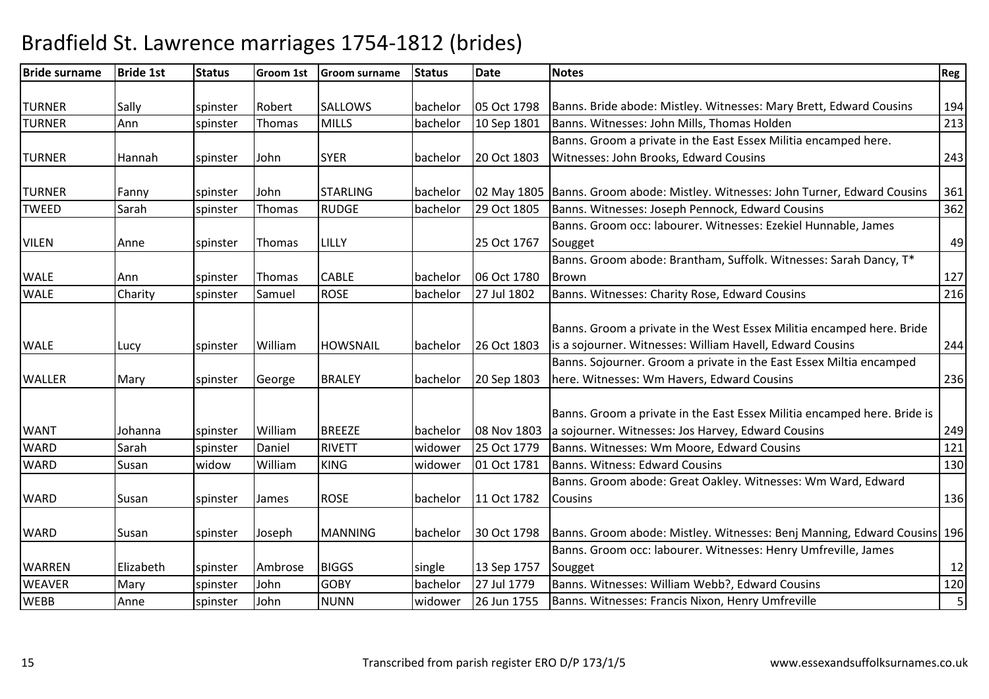| <b>Bride surname</b> | <b>Bride 1st</b> | <b>Status</b> | <b>Groom 1st</b> | <b>Groom surname</b> | <b>Status</b> | <b>Date</b> | <b>Notes</b>                                                                                                                     | Reg |
|----------------------|------------------|---------------|------------------|----------------------|---------------|-------------|----------------------------------------------------------------------------------------------------------------------------------|-----|
|                      |                  |               |                  |                      |               |             |                                                                                                                                  |     |
| <b>TURNER</b>        | Sally            | spinster      | Robert           | <b>SALLOWS</b>       | bachelor      | 05 Oct 1798 | Banns. Bride abode: Mistley. Witnesses: Mary Brett, Edward Cousins                                                               | 194 |
| <b>TURNER</b>        | Ann              | spinster      | Thomas           | <b>MILLS</b>         | bachelor      | 10 Sep 1801 | Banns. Witnesses: John Mills, Thomas Holden                                                                                      | 213 |
|                      |                  |               |                  |                      |               |             | Banns. Groom a private in the East Essex Militia encamped here.                                                                  |     |
| <b>TURNER</b>        | Hannah           | spinster      | John             | <b>SYER</b>          | bachelor      | 20 Oct 1803 | Witnesses: John Brooks, Edward Cousins                                                                                           | 243 |
| <b>TURNER</b>        | Fanny            | spinster      | John             | <b>STARLING</b>      | bachelor      |             | 02 May 1805 Banns. Groom abode: Mistley. Witnesses: John Turner, Edward Cousins                                                  | 361 |
| <b>TWEED</b>         | Sarah            | spinster      | <b>Thomas</b>    | <b>RUDGE</b>         | bachelor      | 29 Oct 1805 | Banns. Witnesses: Joseph Pennock, Edward Cousins                                                                                 | 362 |
|                      |                  |               |                  |                      |               |             | Banns. Groom occ: labourer. Witnesses: Ezekiel Hunnable, James                                                                   |     |
| <b>VILEN</b>         | Anne             | spinster      | Thomas           | LILLY                |               | 25 Oct 1767 | Sougget                                                                                                                          | 49  |
|                      |                  |               |                  |                      |               |             | Banns. Groom abode: Brantham, Suffolk. Witnesses: Sarah Dancy, T*                                                                |     |
| <b>WALE</b>          | Ann              | spinster      | Thomas           | <b>CABLE</b>         | bachelor      | 06 Oct 1780 | Brown                                                                                                                            | 127 |
| <b>WALE</b>          | Charity          | spinster      | Samuel           | <b>ROSE</b>          | bachelor      | 27 Jul 1802 | Banns. Witnesses: Charity Rose, Edward Cousins                                                                                   | 216 |
|                      |                  |               |                  |                      |               |             | Banns. Groom a private in the West Essex Militia encamped here. Bride                                                            |     |
| <b>WALE</b>          | Lucy             | spinster      | William          | <b>HOWSNAIL</b>      | bachelor      | 26 Oct 1803 | is a sojourner. Witnesses: William Havell, Edward Cousins<br>Banns. Sojourner. Groom a private in the East Essex Miltia encamped | 244 |
| <b>WALLER</b>        |                  |               |                  | <b>BRALEY</b>        | bachelor      | 20 Sep 1803 | here. Witnesses: Wm Havers, Edward Cousins                                                                                       | 236 |
|                      | Mary             | spinster      | George           |                      |               |             |                                                                                                                                  |     |
| <b>WANT</b>          | Johanna          | spinster      | William          | <b>BREEZE</b>        | bachelor      | 08 Nov 1803 | Banns. Groom a private in the East Essex Militia encamped here. Bride is<br>a sojourner. Witnesses: Jos Harvey, Edward Cousins   | 249 |
| <b>WARD</b>          | Sarah            | spinster      | Daniel           | <b>RIVETT</b>        | widower       | 25 Oct 1779 | Banns. Witnesses: Wm Moore, Edward Cousins                                                                                       | 121 |
| <b>WARD</b>          | Susan            | widow         | William          | <b>KING</b>          | widower       | 01 Oct 1781 | Banns. Witness: Edward Cousins                                                                                                   | 130 |
| <b>WARD</b>          | Susan            | spinster      | James            | <b>ROSE</b>          | bachelor      | 11 Oct 1782 | Banns. Groom abode: Great Oakley. Witnesses: Wm Ward, Edward<br><b>Cousins</b>                                                   | 136 |
| <b>WARD</b>          | Susan            | spinster      | Joseph           | <b>MANNING</b>       | bachelor      | 30 Oct 1798 | Banns. Groom abode: Mistley. Witnesses: Benj Manning, Edward Cousins 196                                                         |     |
|                      |                  |               |                  |                      |               |             | Banns. Groom occ: labourer. Witnesses: Henry Umfreville, James                                                                   |     |
| <b>WARREN</b>        | Elizabeth        | spinster      | Ambrose          | <b>BIGGS</b>         | single        | 13 Sep 1757 | Sougget                                                                                                                          | 12  |
| <b>WEAVER</b>        | Mary             | spinster      | John             | <b>GOBY</b>          | bachelor      | 27 Jul 1779 | Banns. Witnesses: William Webb?, Edward Cousins                                                                                  | 120 |
| <b>WEBB</b>          | Anne             | spinster      | John             | <b>NUNN</b>          | widower       | 26 Jun 1755 | Banns. Witnesses: Francis Nixon, Henry Umfreville                                                                                | 5   |